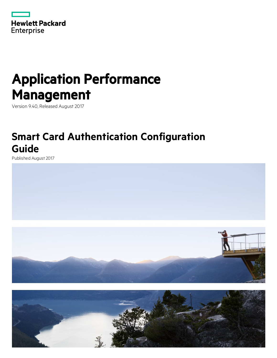

# Application Performance Management

Version 9.40, Released August 2017

## **Smart Card Authentication Configuration Guide**

Published August 2017



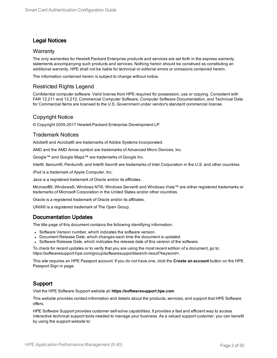### Legal Notices

#### **Warranty**

The only warranties for Hewlett Packard Enterprise products and services are set forth in the express warranty statements accompanying such products and services. Nothing herein should be construed as constituting an additional warranty. HPE shall not be liable for technical or editorial errors or omissions contained herein.

The information contained herein is subject to change without notice.

### Restricted Rights Legend

Confidential computer software. Valid license from HPE required for possession, use or copying. Consistent with FAR 12.211 and 12.212, Commercial Computer Software, Computer Software Documentation, and Technical Data for Commercial Items are licensed to the U.S. Government under vendor's standard commercial license.

### Copyright Notice

© Copyright 2005-2017 Hewlett Packard Enterprise Development LP

#### Trademark Notices

Adobe® and Acrobat® are trademarks of Adobe Systems Incorporated.

AMD and the AMD Arrow symbol are trademarks of Advanced Micro Devices, Inc.

Google™ and Google Maps™ are trademarks of Google Inc.

Intel®, Itanium®, Pentium®, and Intel® Xeon® are trademarks of Intel Corporation in the U.S. and other countries.

iPod is a trademark of Apple Computer, Inc.

Java is a registered trademark of Oracle and/or its affiliates.

Microsoft®, Windows®, Windows NT®, Windows Server® and Windows Vista™ are either registered trademarks or trademarks of Microsoft Corporation in the United States and/or other countries.

Oracle is a registered trademark of Oracle and/or its affiliates.

UNIX® is a registered trademark of The Open Group.

### Documentation Updates

The title page of this document contains the following identifying information:

- Software Version number, which indicates the software version.
- Document Release Date, which changes each time the document is updated.
- Software Release Date, which indicates the release date of this version of the software.

To check for recent updates or to verify that you are using the most recent edition of a document, go to: https://softwaresupport.hpe.com/group/softwaresupport/search-result?keyword=.

This site requires an HPE Passport account. If you do not have one, click the **Create an account** button on the HPE Passport Sign in page.

### Support

Visit the HPE Software Support website at: **https://softwaresupport.hpe.com**

This website provides contact information and details about the products, services, and support that HPE Software offers.

HPE Software Support provides customer self-solve capabilities. It provides a fast and efficient way to access interactive technical support tools needed to manage your business. As a valued support customer, you can benefit by using the support website to: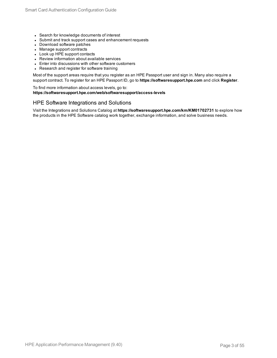- Search for knowledge documents of interest
- Submit and track support cases and enhancement requests
- Download software patches
- Manage support contracts
- Look up HPE support contacts
- Review information about available services
- Enter into discussions with other software customers
- Research and register for software training

Most of the support areas require that you register as an HPE Passport user and sign in. Many also require a support contract. To register for an HPE Passport ID, go to **https://softwaresupport.hpe.com** and click **Register**.

To find more information about access levels, go to: **https://softwaresupport.hpe.com/web/softwaresupport/access-levels**

#### HPE Software Integrations and Solutions

Visit the Integrations and Solutions Catalog at **https://softwaresupport.hpe.com/km/KM01702731** to explore how the products in the HPE Software catalog work together, exchange information, and solve business needs.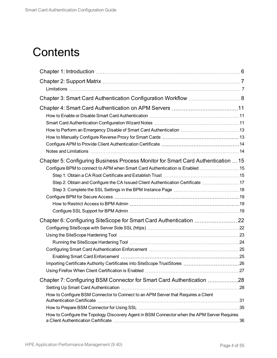## **Contents**

| Chapter 3: Smart Card Authentication Configuration Workflow  8                              |  |
|---------------------------------------------------------------------------------------------|--|
|                                                                                             |  |
|                                                                                             |  |
|                                                                                             |  |
|                                                                                             |  |
|                                                                                             |  |
|                                                                                             |  |
|                                                                                             |  |
| Chapter 5: Configuring Business Process Monitor for Smart Card Authentication  15           |  |
| Configure BPM to connect to APM when Smart Card Authentication is Enabled  15               |  |
|                                                                                             |  |
| Step 2: Obtain and Configure the CA Issued Client Authentication Certificate 17             |  |
|                                                                                             |  |
|                                                                                             |  |
|                                                                                             |  |
|                                                                                             |  |
| Chapter 6: Configuring SiteScope for Smart Card Authentication 22                           |  |
|                                                                                             |  |
|                                                                                             |  |
|                                                                                             |  |
|                                                                                             |  |
|                                                                                             |  |
|                                                                                             |  |
|                                                                                             |  |
| Chapter 7: Configuring BSM Connector for Smart Card Authentication 28                       |  |
|                                                                                             |  |
| How to Configure BSM Connector to Connect to an APM Server that Requires a Client           |  |
|                                                                                             |  |
| How to Configure the Topology Discovery Agent in BSM Connector when the APM Server Requires |  |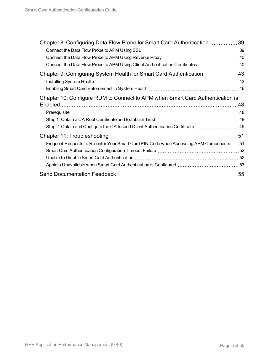| Chapter 8: Configuring Data Flow Probe for Smart Card Authentication 39                  |  |
|------------------------------------------------------------------------------------------|--|
| Connect the Data Flow Probe to APM Using Client Authentication Certificates 40           |  |
| Chapter 9: Configuring System Health for Smart Card Authentication 43                    |  |
|                                                                                          |  |
| Chapter 10: Configure RUM to Connect to APM when Smart Card Authentication is            |  |
|                                                                                          |  |
|                                                                                          |  |
|                                                                                          |  |
|                                                                                          |  |
| Frequent Requests to Re-enter Your Smart Card PIN Code when Accessing APM Components  51 |  |
|                                                                                          |  |
|                                                                                          |  |
| Applets Unavailable when Smart Card Authentication is Configured  53                     |  |
|                                                                                          |  |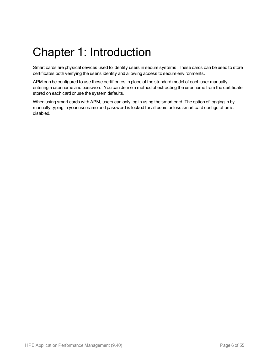# <span id="page-5-0"></span>Chapter 1: Introduction

Smart cards are physical devices used to identify users in secure systems. These cards can be used to store certificates both verifying the user's identity and allowing access to secure environments.

APM can be configured to use these certificates in place of the standard model of each user manually entering a user name and password. You can define a method of extracting the user name from the certificate stored on each card or use the system defaults.

When using smart cards with APM, users can only log in using the smart card. The option of logging in by manually typing in your username and password is locked for all users unless smart card configuration is disabled.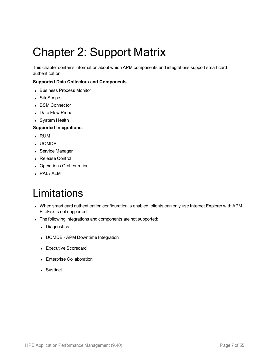# <span id="page-6-0"></span>Chapter 2: Support Matrix

This chapter contains information about which APM components and integrations support smart card authentication.

#### **Supported Data Collectors and Components**

- Business Process Monitor
- SiteScope
- BSM Connector
- Data Flow Probe
- System Health

#### **Supported Integrations:**

- <sup>l</sup> RUM
- <sup>l</sup> UCMDB
- Service Manager
- Release Control
- Operations Orchestration
- <span id="page-6-1"></span>• PAL / ALM

## Limitations

- When smart card authentication configuration is enabled, clients can only use Internet Explorer with APM. FireFox is not supported.
- The following integrations and components are not supported:
	- Diagnostics
	- UCMDB APM Downtime Integration
	- Executive Scorecard
	- Enterprise Collaboration
	- Systinet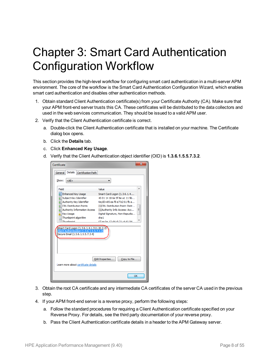# <span id="page-7-0"></span>Chapter 3: Smart Card Authentication Configuration Workflow

This section provides the high-level workflow for configuring smart card authentication in a multi-server APM environment. The core of the workflow is the Smart Card Authentication Configuration Wizard, which enables smart card authentication and disables other authentication methods.

- 1. Obtain standard Client Authentication certificate(s) from your Certificate Authority (CA). Make sure that your APM front-end server trusts this CA. These certificates will be distributed to the data collectors and used in the web services communication. They should be issued to a valid APM user.
- 2. Verify that the Client Authentication certificate is correct.
	- a. Double-click the Client Authentication certificate that is installed on your machine. The Certificate dialog box opens.
	- b. Click the **Details** tab.
	- c. Click **Enhanced Key Usage**.
	- d. Verify that the Client Authentication object identifier (OID) is **1.3.6.1.5.5.7.3.2**.

| Certificate                                                                                                                                                                                                                                                                                                                                                                                                                                                                                                                                                                        |       |  |
|------------------------------------------------------------------------------------------------------------------------------------------------------------------------------------------------------------------------------------------------------------------------------------------------------------------------------------------------------------------------------------------------------------------------------------------------------------------------------------------------------------------------------------------------------------------------------------|-------|--|
| <b>Details</b><br>Certification Path<br>General                                                                                                                                                                                                                                                                                                                                                                                                                                                                                                                                    |       |  |
| Show:<br>$<$ All $>$                                                                                                                                                                                                                                                                                                                                                                                                                                                                                                                                                               |       |  |
| Field                                                                                                                                                                                                                                                                                                                                                                                                                                                                                                                                                                              | Value |  |
| Enhanced Key Usage<br>Smart Card Logon (1.3.6.1.4<br>40 01 14 18 6e 5f 8e a1 11 9b<br>Subject Key Identifier<br>Authority Key Identifier<br>KeyID=85 ea f8 e7 b2 61 fb a<br>CRL Distribution Points<br>[1]CRL Distribution Point: Distr<br>Ξ<br>Authority Information Access<br>[1] Authority Info Access: Acc<br><b>Key Usage</b><br>Digital Signature, Non-Repudia<br>Thumbprint algorithm<br>sha 1<br>Thumborint<br>67 ae ha 12 d4 c9 21 c4 d1 94<br>Smart Card Logon (1.3.6.1.4.1.311.20.2.2)<br>Client Authentication (1.3.6.1.5.5.7.3.2)<br>Secure Email (1.3.6.1.5.5.7.3.4) |       |  |
| Edit Properties<br>Copy to File<br>Learn more about certificate details                                                                                                                                                                                                                                                                                                                                                                                                                                                                                                            |       |  |
|                                                                                                                                                                                                                                                                                                                                                                                                                                                                                                                                                                                    | OK    |  |

- 3. Obtain the root CA certificate and any intermediate CA certificates of the server CA used in the previous step.
- 4. If your APM front-end server is a reverse proxy, perform the following steps:
	- a. Follow the standard procedures for requiring a Client Authentication certificate specified on your Reverse Proxy. For details, see the third party documentation of your reverse proxy.
	- b. Pass the Client Authentication certificate details in a header to the APM Gateway server.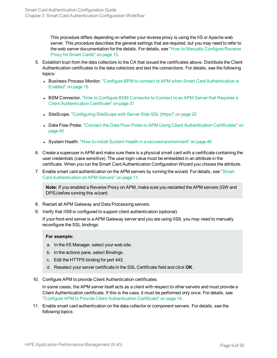This procedure differs depending on whether your reverse proxy is using the IIS or Apache web server. This procedure describes the general settings that are required, but you may need to refer to the web server documentation for the details. For details, see "How to Manually [Configure](#page-12-1) Reverse Proxy for Smart [Cards"](#page-12-1) on page 13.

- 5. Establish trust from the data collectors to the CA that issued the certificates above. Distribute the Client Authentication certificates to the data collectors and test the connections. For details, see the following topics:
	- Business Process Monitor. "Configure BPM to connect to APM when Smart Card [Authentication](#page-14-1) is [Enabled"](#page-14-1) on page 15
	- BSM [Connector](#page-30-0). "How to Configure BSM Connector to Connect to an APM Server that Requires a Client [Authentication](#page-30-0) Certificate" on page 31
	- SiteScope. ["Configuring](#page-21-1) SiteScope with Server Side SSL (https)" on page 22
	- Data Flow Probe. "Connect the Data Flow Probe to APM Using Client [Authentication](#page-39-1) Certificates" on [page](#page-39-1) 40
	- System Health. "How to install System Health in a secured [environment"](#page-45-1) on page 46
- 6. Create a superuser in APM and make sure there is a physical smart card with a certificate containing the user credentials (case sensitive). The user login value must be embedded in an attribute in the certificate. When you run the Smart Card Authentication Configuration Wizard you choose the attribute.
- 7. Enable smart card authentication on the APM servers by running the wizard. For details, see ["Smart](#page-10-0) Card [Authentication](#page-10-0) on APM Servers" on page 11.

**Note:** If you enabled a Reverse Proxy on APM, make sure you restarted the APM servers (GW and DPS) before running this wizard.

- 8. Restart all APM Gateway and Data Processing servers.
- 9. Verify that IIS8 is configured to support client authentication (optional).

If your front-end server is a APM Gateway server and you are using IIS8, you may need to manually reconfigure the SSL bindings:

#### **For example:**

- a. In the IIS Manager, select your web site.
- b. In the actions pane, select Bindings.
- c. Edit the HTTPS binding for port 443.
- d. Reselect your server certificate in the SSL Certificate field and click **OK**.
- 10. Configure APM to provide Client Authentication certificates.

In some cases, the APM server itself acts as a client with respect to other servers and must provide a Client Authentication certificate. If this is the case, it must be performed only once. For details, see "Configure APM to Provide Client [Authentication](#page-13-0) Certificate" on page 14.

11. Enable smart card authentication on the data collector or component servers. For details, see the following topics: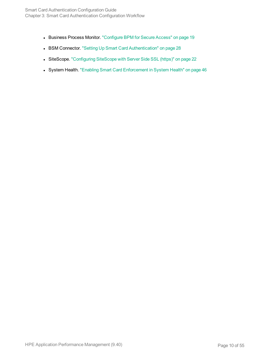- Business Process Monitor. ["Configure](#page-18-0) BPM for Secure Access" on page 19
- BSM Connector. "Setting Up Smart Card [Authentication"](#page-27-1) on page 28
- SiteScope. ["Configuring](#page-21-1) SiteScope with Server Side SSL (https)" on page 22
- System Health. "Enabling Smart Card [Enforcement](#page-45-0) in System Health" on page 46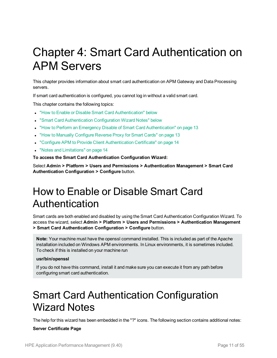# <span id="page-10-0"></span>Chapter 4: Smart Card Authentication on APM Servers

This chapter provides information about smart card authentication on APM Gateway and Data Processing servers.

If smart card authentication is configured, you cannot log in without a valid smart card.

This chapter contains the following topics:

- "How to Enable or Disable Smart Card [Authentication"](#page-10-1) below
- **.** "Smart Card [Authentication](#page-10-2) Configuration Wizard Notes" below
- "How to Perform an Emergency Disable of Smart Card [Authentication"](#page-12-0) on page 13
- "How to Manually [Configure](#page-12-1) Reverse Proxy for Smart Cards" on page 13
- "Configure APM to Provide Client [Authentication](#page-13-0) Certificate" on page 14
- "Notes and [Limitations"](#page-13-1) on page 14

**To access the Smart Card Authentication Configuration Wizard:**

<span id="page-10-1"></span>Select **Admin > Platform > Users and Permissions > Authentication Management > Smart Card Authentication Configuration > Configure** button.

## How to Enable or Disable Smart Card Authentication

Smart cards are both enabled and disabled by using the Smart Card Authentication Configuration Wizard. To access the wizard, select **Admin > Platform > Users and Permissions > Authentication Management > Smart Card Authentication Configuration > Configure** button.

**Note:** Your machine must have the openssl command installed. This is included as part of the Apache installation included on Windows APM environments. In Linux environments, it is sometimes included. To check if this is installed on your machine run

#### **usr/bin/openssl**

<span id="page-10-2"></span>If you do not have this command, install it and make sure you can execute it from any path before configuring smart card authentication.

### Smart Card Authentication Configuration Wizard Notes

The help for this wizard has been embedded in the "?" icons. The following section contains additional notes:

#### **Server Certificate Page**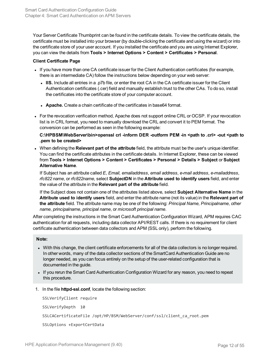Your Server Certificate Thumbprint can be found in the certificate details. To view the certificate details, the certificate must be installed into your browser (by double-clicking the certificate and using the wizard) or into the certificate store of your user account. If you installed the certificate and you are using Internet Explorer, you can view the details from **Tools > Internet Options > Content > Certificates > Personal**.

#### **Client Certificate Page**

- If you have more than one CA certificate issuer for the Client Authentication certificates (for example, there is an intermediate CA) follow the instructions below depending on your web server:
	- <sup>l</sup> **IIS.** Include all entries in a .p7b file, or enter the root CA in the CA certificate issuer for the Client Authentication certificates (.cer) field and manually establish trust to the other CAs. To do so, install the certificates into the certificate store of your computer account.
	- **Apache.** Create a chain certificate of the certificates in base64 format.
- For the revocation verification method, Apache does not support online CRL or OCSP. If your revocation list is in CRL format, you need to manually download the CRL and convert it to PEM format. The conversion can be performed as seen in the following example:

#### **C:\HPBSM\WebServer\bin>openssl crl -inform DER -outform PEM -in <path to .crl> -out <path to .pem to be created>**

<sup>l</sup> When defining the **Relevant part of the attribute** field, the attribute must be the user's unique identifier. You can find the certificate attributes in the certificate details. In Internet Explorer, these can be viewed from **Tools > Internet Options > Content > Certificates > Personal > Details > Subject** or **Subject Alternative Name**.

If Subject has an attribute called *E*, *Email, emailaddress*, *email address*, *e-mail address*, *e-mailaddress*, *rfc822 name*, or *rfc822name*, select **SubjectDN** in the **Attribute used to identify users** field, and enter the value of the attribute in the **Relevant part of the attribute** field.

If the Subject does not contain one of the attributes listed above, select **Subject Alternative Name** in the **Attribute used to identify users** field, and enter the attribute name (not its value) in the **Relevant part of the attribute** field. The attribute name may be one of the following: *Principal Name*, *Principalname*, *other name*, *principalname*, *principal name*, or *microsoft principal name*.

After completing the instructions in the Smart Card Authentication Configuration Wizard, APM requires CAC authentication for all requests, including data collector API/REST calls. If there is no requirement for client certificate authentication between data collectors and APM (SSL only), perform the following.

#### **Note:**

- . With this change, the client certificate enforcements for all of the data collectors is no longer required. In other words, many of the data collector sections of the SmartCard Authentication Guide are no longer needed, as you can focus entirely on the setup of the user-related configuration that is documented in the guide.
- If you rerun the Smart Card Authentication Configuration Wizard for any reason, you need to repeat this procedure.
- 1. In the file **httpd-ssl.conf**, locate the following section:

SSLVerifyClient require SSLVerifyDepth 10 SSLCACertificateFile /opt/HP/BSM/WebServer/conf/ssl/client\_ca\_root.pem SSLOptions +ExportCertData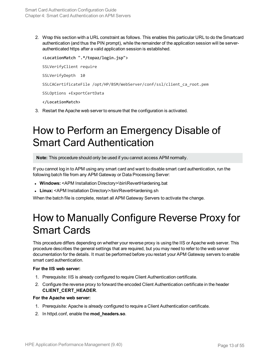2. Wrap this section with a URL constraint as follows. This enables this particular URL to do the Smartcard authentication (and thus the PIN prompt), while the remainder of the application session will be serverauthenticated https after a valid application session is established.

**<LocationMatch ".\*/topaz/login.jsp">** SSLVerifyClient require SSLVerifyDepth 10 SSLCACertificateFile /opt/HP/BSM/WebServer/conf/ssl/client\_ca\_root.pem SSLOptions +ExportCertData **</LocationMatch>**

<span id="page-12-0"></span>3. Restart the Apache web server to ensure that the configuration is activated.

## How to Perform an Emergency Disable of Smart Card Authentication

**Note:** This procedure should only be used if you cannot access APM normally.

If you cannot log in to APM using any smart card and want to disable smart card authentication, run the following batch file from any APM Gateway or Data Processing Server:

- <sup>l</sup> **Windows:** <APM Installation Directory>\bin\RevertHardening.bat
- <span id="page-12-1"></span>• Linux: <APM Installation Directory>/bin/RevertHardening.sh

When the batch file is complete, restart all APM Gateway Servers to activate the change.

### How to Manually Configure Reverse Proxy for Smart Cards

This procedure differs depending on whether your reverse proxy is using the IIS or Apache web server. This procedure describes the general settings that are required, but you may need to refer to the web server documentation for the details. It must be performed before you restart your APM Gateway servers to enable smart card authentication.

#### **For the IIS web server:**

- 1. Prerequisite: IIS is already configured to require Client Authentication certificate.
- 2. Configure the reverse proxy to forward the encoded Client Authentication certificate in the header **CLIENT\_CERT\_HEADER**.

#### **For the Apache web server:**

- 1. Prerequisite: Apache is already configured to require a Client Authentication certificate.
- 2. In httpd.conf, enable the **mod\_headers.so**.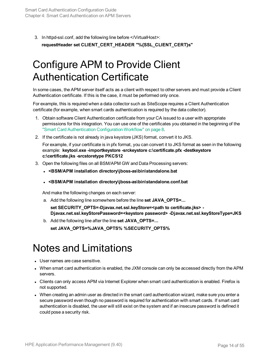<span id="page-13-0"></span>3. In httpd-ssl.conf, add the following line before </VirtualHost>: **requestHeader set CLIENT\_CERT\_HEADER "%{SSL\_CLIENT\_CERT}s"**

## Configure APM to Provide Client Authentication Certificate

In some cases, the APM server itself acts as a client with respect to other servers and must provide a Client Authentication certificate. If this is the case, it must be performed only once.

For example, this is required when a data collector such as SiteScope requires a Client Authentication certificate (for example, when smart cards authentication is required by the data collector).

- 1. Obtain software Client Authentication certificate from your CA issued to a user with appropriate permissions for this integration. You can use one of the certificates you obtained in the beginning of the "Smart Card [Authentication](#page-7-0) Configuration Workflow" on page 8.
- 2. If the certificate is not already in java keystore (JKS) format, convert it to JKS.

For example, if your certificate is in pfx format, you can convert it to JKS format as seen in the following example: **keytool.exe -importkeystore -srckeystore c:\certificate.pfx -destkeystore c:\certificate.jks -srcstoretype PKCS12**

- 3. Open the following files on all BSM/APM GW and Data Processing servers:
	- <sup>l</sup> **<BSM/APM installation directory\jboss-as\bin\standalone.bat**
	- <sup>l</sup> **<BSM/APM installation directory\jboss-as\bin\standalone.conf.bat**

And make the following changes on each server:

a. Add the following line somewhere before the line **set JAVA\_OPTS=...**

**set SECURITY\_OPTS=-Djavax.net.ssl.keyStore=<path to certificate.jks> - Djavax.net.ssl.keyStorePassword=<keystore password> -Djavax.net.ssl.keyStoreType=JKS**

b. Add the following line after the line **set JAVA\_OPTS=...**

**set JAVA\_OPTS=%JAVA\_OPTS% %SECURITY\_OPTS%**

### <span id="page-13-1"></span>Notes and Limitations

- User names are case sensitive.
- When smart card authentication is enabled, the JXM console can only be accessed directly from the APM servers.
- Clients can only access APM via Internet Explorer when smart card authentication is enabled. Firefox is not supported.
- When creating an admin user as directed in the smart card authentication wizard, make sure you enter a secure password even though no password is required for authentication with smart cards. If smart card authentication is disabled, the user will still exist on the system and if an insecure password is defined it could pose a security risk.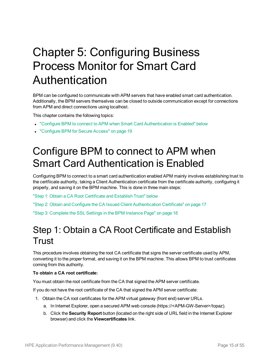# <span id="page-14-0"></span>Chapter 5: Configuring Business Process Monitor for Smart Card Authentication

BPM can be configured to communicate with APM servers that have enabled smart card authentication. Additionally, the BPM servers themselves can be closed to outside communication except for connections from APM and direct connections using localhost.

This chapter contains the following topics:

- <sup>l</sup> "Configure BPM to connect to APM when Smart Card [Authentication](#page-14-1) is Enabled" below
- <span id="page-14-1"></span>• ["Configure](#page-18-0) BPM for Secure Access" on page 19

## Configure BPM to connect to APM when Smart Card Authentication is Enabled

Configuring BPM to connect to a smart card authentication enabled APM mainly involves establishing trust to the certfiicate authority, taking a Client Authentication certificate from the certificate authority, configuring it properly, and saving it on the BPM machine. This is done in three main steps:

"Step 1: Obtain a CA Root [Certificate](#page-14-2) and Establish Trust" below

<span id="page-14-2"></span>"Step 2: Obtain and Configure the CA Issued Client [Authentication](#page-16-0) Certificate" on page 17

"Step 3: Complete the SSL Settings in the [BPM Instance](#page-17-0) Page" on page 18

### Step 1: Obtain a CA Root Certificate and Establish **Trust**

This procedure involves obtaining the root CA certificate that signs the server certificate used by APM, converting it to the proper format, and saving it on the BPM machine. This allows BPM to trust certificates coming from this authority.

#### **To obtain a CA root certificate:**

You must obtain the root certificate from the CA that signed the APM server certificate.

If you do not have the root certificate of the CA that signed the APM server certificate:

- 1. Obtain the CA root certificates for the APM virtual gateway (front end) server URLs.
	- a. In Internet Explorer, open a secured APM web console (https://<APM-GW-Server>/topaz).
	- b. Click the **Security Report** button (located on the right side of URL field in the Internet Explorer browser) and click the **Viewcertificates** link.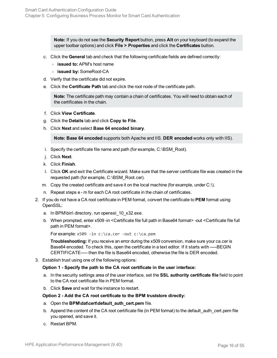**Note:** If you do not see the **Security Report** button, press **Alt** on your keyboard (to expand the upper toolbar options) and click **File > Properties** and click the **Certificates** button.

- c. Click the **General** tab and check that the following certificate fields are defined correctly:
	- <sup>o</sup> **issued to:** APM's host name
	- <sup>o</sup> **issued by:** SomeRoot-CA
- d. Verify that the certificate did not expire.
- e. Click the **Certificate Path** tab and click the root node of the certificate path.

**Note:** The certificate path may contain a chain of certificates. You will need to obtain each of the certificates in the chain.

- f. Click **View Certificate**.
- g. Click the **Details** tab and click **Copy to File**.
- h. Click **Next** and select **Base 64 encoded binary**.

**Note: Base 64 encoded** supports both Apache and IIS. **DER encoded** works only with IIS).

- i. Specify the certificate file name and path (for example, C:\BSM\_Root).
- j. Click **Next**.
- k. Click **Finish**.
- l. Click **OK** and exit the Certificate wizard. Make sure that the server certificate file was created in the requested path (for example, C:\BSM\_Root.cer).
- m. Copy the created certificate and save it on the local machine (for example, under  $C:\mathcal{C}$ .).
- n. Repeat steps e m for each CA root certificate in the chain of certificates.
- 2. If you do not have a CA root certificate in PEM format, convert the certificate to **PEM** format using OpenSSL:
	- a. In BPM\bin\ directory, run openssl\_10\_x32.exe.
	- b. When prompted, enter x509 -in <Certificate file full path in Base64 format> -out <Certificate file full path in PEM format>.

For example: x509 -in c:\ca.cer -out c:\ca.pem

**Troubleshooting:** If you receive an error during the x509 conversion, make sure your ca.cer is Base64 encoded. To check this, open the certificate in a text editor. If it starts with -----BEGIN CERTIFICATE----- then the file is Base64 encoded, otherwise the file is DER encoded.

3. Establish trust using one of the following options:

#### **Option 1 - Specify the path to the CA root certificate in the user interface:**

- a. In the security settings area of the user interface, set the **SSL authority certificate file** field to point to the CA root certificate file in PEM format.
- b. Click **Save** and wait for the instance to restart.

#### **Option 2 - Add the CA root certificate to the BPM truststore directly:**

- a. Open the **BPM\dat\cert\default\_auth\_cert.pem** file.
- b. Append the content of the CA root certificate file (in PEM format) to the default\_auth\_cert.pem file you opened, and save it.
- c. Restart BPM.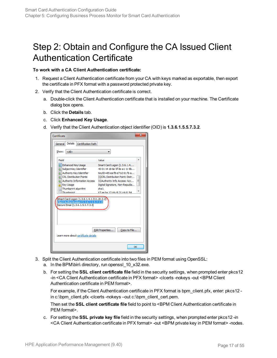### <span id="page-16-0"></span>Step 2: Obtain and Configure the CA Issued Client Authentication Certificate

#### **To work with a CA Client Authentication certificate:**

- 1. Request a Client Authentication certificate from your CA with keys marked as exportable, then export the certificate in PFX format with a password protected private key.
- 2. Verify that the Client Authentication certificate is correct.
	- a. Double-click the Client Authentication certificate that is installed on your machine. The Certificate dialog box opens.
	- b. Click the **Details** tab.
	- c. Click **Enhanced Key Usage**.
	- d. Verify that the Client Authentication object identifier (OID) is **1.3.6.1.5.5.7.3.2**.

| Certificate                                                                                                                |                                     |  |  |
|----------------------------------------------------------------------------------------------------------------------------|-------------------------------------|--|--|
| Details<br>Certification Path<br>General                                                                                   |                                     |  |  |
| $<$ All $>$<br>Show:                                                                                                       |                                     |  |  |
| Field                                                                                                                      | Value                               |  |  |
| <b>Enhanced Key Usage</b>                                                                                                  | Smart Card Logon (1.3.6.1.4         |  |  |
| Subject Key Identifier                                                                                                     | 40 01 14 18 6e 5f 8e a1 11 9b       |  |  |
| <b>TE Authority Key Identifier</b>                                                                                         | KevID=85 ea f8 e7 b2 61 fb a        |  |  |
| CRL Distribution Points                                                                                                    | [1]CRL Distribution Point: Distr    |  |  |
| Authority Information Access                                                                                               | Ξ<br>[1] Authority Info Access: Acc |  |  |
| <b>Key Usage</b>                                                                                                           | Digital Signature, Non-Repudia      |  |  |
| Thumbprint algorithm                                                                                                       | sha1                                |  |  |
| Thumborint                                                                                                                 | 67 ae ha 12 d4 c9 21 c4 d1 94       |  |  |
| Smart Card Logon (1.3.6.1.4.1.311.20.2.2)<br>Client Authentication (1.3.6.1.5.5.7.3.2)<br>Secure Email (1.3.6.1.5.5.7.3.4) |                                     |  |  |
| Edit Properties<br>Copy to File<br>Learn more about certificate details                                                    |                                     |  |  |
|                                                                                                                            | OK                                  |  |  |

- 3. Split the Client Authentication certificate into two files in PEM format using OpenSSL:
	- a. In the BPM\bin\ directory, run openssl\_10\_x32.exe.
	- b. For setting the **SSL client certificate file** field in the security settings, when prompted enter pkcs12 -in <CA Client Authentication certificate in PFX format> -clcerts -nokeys -out <BPM Client Authentication certificate in PEM format>.

For example, if the Client Authentication certificate in PFX format is bpm\_client.pfx, enter: pkcs12 in c:\bpm\_client.pfx -clcerts -nokeys –out c:\bpm\_client\_cert.pem.

Then set the **SSL client certificate file** field to point to <BPM Client Authentication certificate in PEM format>.

c. For setting the **SSL private key file** field in the security settings, when prompted enter pkcs12 -in <CA Client Authentication certificate in PFX format> -out <BPM private key in PEM format> -nodes.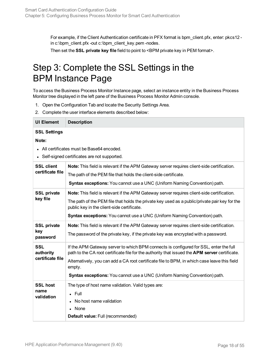<span id="page-17-0"></span>For example, if the Client Authentication certificate in PFX format is bpm\_client.pfx, enter: pkcs12 in c:\bpm\_client.pfx -out c:\bpm\_client\_key.pem -nodes.

Then set the **SSL private key file** field to point to <BPM private key in PEM format>.

### Step 3: Complete the SSL Settings in the BPM Instance Page

To access the Business Process Monitor Instance page, select an instance entity in the Business Process Monitor tree displayed in the left pane of the Business Process Monitor Admin console.

- 1. Open the Configuration Tab and locate the Security Settings Area.
- 2. Complete the user interface elements described below:

| <b>UI Element</b>                                                        | <b>Description</b>                                                                                                                                                                                                                                                                                                                                                             |
|--------------------------------------------------------------------------|--------------------------------------------------------------------------------------------------------------------------------------------------------------------------------------------------------------------------------------------------------------------------------------------------------------------------------------------------------------------------------|
| <b>SSL Settings</b><br>Note:<br>All certificates must be Base64 encoded. |                                                                                                                                                                                                                                                                                                                                                                                |
| <b>SSL client</b><br>certificate file                                    | Self-signed certificates are not supported.<br>Note: This field is relevant if the APM Gateway server requires client-side certification.<br>The path of the PEM file that holds the client-side certificate.<br>Syntax exceptions: You cannot use a UNC (Uniform Naming Convention) path.                                                                                     |
| <b>SSL private</b><br>key file                                           | Note: This field is relevant if the APM Gateway server requires client-side certification.<br>The path of the PEM file that holds the private key used as a public/private pair key for the<br>public key in the client-side certificate.<br>Syntax exceptions: You cannot use a UNC (Uniform Naming Convention) path.                                                         |
| <b>SSL private</b><br>key<br>password                                    | Note: This field is relevant if the APM Gateway server requires client-side certification.<br>The password of the private key, if the private key was encrypted with a password.                                                                                                                                                                                               |
| <b>SSL</b><br>authority<br>certificate file                              | If the APM Gateway server to which BPM connects is configured for SSL, enter the full<br>path to the CA root certificate file for the authority that issued the APM server certificate.<br>Alternatively, you can add a CA root certificate file to BPM, in which case leave this field<br>empty.<br>Syntax exceptions: You cannot use a UNC (Uniform Naming Convention) path. |
| <b>SSL host</b><br>name<br>validation                                    | The type of host name validation. Valid types are:<br>$\cdot$ Full<br>No host name validation<br>None<br>Default value: Full (recommended)                                                                                                                                                                                                                                     |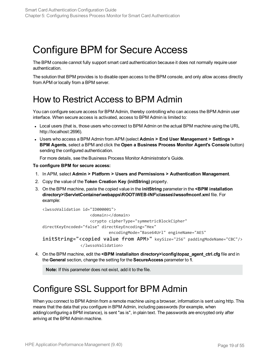## <span id="page-18-0"></span>Configure BPM for Secure Access

The BPM console cannot fully support smart card authentication because it does not normally require user authentication.

<span id="page-18-1"></span>The solution that BPM provides is to disable open access to the BPM console, and only allow access directly from APM or locally from a BPM server.

### How to Restrict Access to BPM Admin

You can configure secure access for BPM Admin, thereby controlling who can access the BPM Admin user interface. When secure access is activated, access to BPM Admin is limited to:

- Local users (that is, those users who connect to BPM Admin on the actual BPM machine using the URL http://localhost:2696).
- <sup>l</sup> Users who access a BPM Admin from APM (select **Admin > End User Management > Settings > BPM Agents**, select a BPM and click the **Open a Business Process Monitor Agent's Console** button) sending the configured authentication.

For more details, see the Business Process Monitor Administrator's Guide.

**To configure BPM for secure access:**

- 1. In APM, select **Admin > Platform > Users and Permissions > Authentication Management**.
- 2. Copy the value of the **Token Creation Key (initString)** property.
- 3. On the BPM machine, paste the copied value in the **initString** parameter in the **<BPM installation directory>\ServletContainer\webapps\ROOT\WEB-INF\classes\lwssofmconf.xml** file. For example:

```
<lwssoValidation id="ID000001">
                   <domain></domain>
                   <crypto cipherType="symmetricBlockCipher"
directKeyEncoded="false" directKeyEncoding="Hex"
                           encodingMode="Base64Url" engineName="AES"
initString="<copied value from APM>" keySize="256" paddingModeName="CBC"/>
               </lwssoValidation>
```
4. On the BPM machine, edit the **<BPM installaiton directory>\config\topaz\_agent\_ctrl.cfg** file and in the **General** section, change the setting for the **SecureAccess** parameter to **1**.

**Note:** If this parameter does not exist, add it to the file.

### <span id="page-18-2"></span>Configure SSL Support for BPM Admin

When you connect to BPM Admin from a remote machine using a browser, information is sent using http. This means that the data that you configure in BPM Admin, including passwords (for example, when adding/configuring a BPM instance), is sent "as is", in plain text. The passwords are encrypted only after arriving at the BPM Admin machine.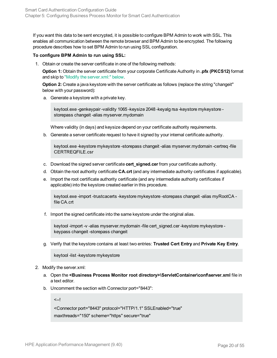If you want this data to be sent encrypted, it is possible to configure BPM Admin to work with SSL. This enables all communication between the remote browser and BPM Admin to be encrypted. The following procedure describes how to set BPM Admin to run using SSL configuration.

#### **To configure BPM Admin to run using SSL:**

1. Obtain or create the server certificate in one of the following methods:

**Option 1:** Obtain the server certificate from your corporate Certificate Authority in **.pfx (PKCS12)** format and skip to "Modify the [server.xml:"](#page-19-0) below.

**Option 2:** Create a java keystore with the server certificate as follows (replace the string "changeit" below with your password):

a. Generate a keystore with a private key.

keytool.exe -genkeypair -validity 1065 -keysize 2048 -keyalg rsa -keystore mykeystore storepass changeit -alias myserver.mydomain

Where validity (in days) and keysize depend on your certificate authority requirements.

b. Generate a server certificate request to have it signed by your internal certificate authority.

keytool.exe -keystore mykeystore -storepass changeit -alias myserver.mydomain -certreq -file CERTREQFILE.csr

- c. Download the signed server certificate **cert\_signed.cer** from your certificate authority.
- d. Obtain the root authority certificate **CA.crt** (and any intermediate authority certificates if applicable).
- e. Import the root certificate authority certificate (and any intermediate authority certificates if applicable) into the keystore created earlier in this procedure.

keytool.exe -import -trustcacerts -keystore mykeystore -storepass changeit -alias myRootCA file CA.crt

f. Import the signed certificate into the same keystore under the original alias.

keytool -import -v -alias myserver.mydomain -file cert\_signed.cer -keystore mykeystore keypass changeit -storepass changeit

g. Verify that the keystore contains at least two entries: **Trusted Cert Entry** and **Private Key Entry**.

keytool -list -keystore mykeystore

- <span id="page-19-0"></span>2. Modify the server.xml:
	- a. Open the **<Business Process Monitor root directory>\ServletContainer\conf\server.xml** file in a text editor.
	- b. Uncomment the section with Connector port="8443":

<--!

```
<Connector port="8443" protocol="HTTP/1.1" SSLEnabled="true"
```

```
maxthreads="150" scheme="https" secure="true"
```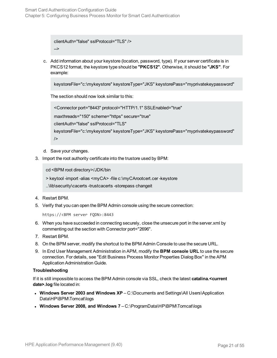```
clientAuth="false" sslProtocol="TLS" />
-->
```
c. Add information about your keystore (location, password, type). If your server certificate is in PKCS12 format, the keystore type should be **"PKCS12"**. Otherwise, it should be **"JKS"**. For example:

keystoreFile="c:\mykeystore" keystoreType="JKS" keystorePass="myprivatekeypassword"

The section should now look similar to this:

<Connector port="8443" protocol="HTTP/1.1" SSLEnabled="true"

maxthreads="150" scheme="https" secure="true"

clientAuth="false" sslProtocol="TLS"

keystoreFile="c:\mykeystore" keystoreType="JKS" keystorePass="myprivatekeypassword" />

- d. Save your changes.
- 3. Import the root authority certificate into the trustore used by BPM:

cd <BPM root directory>/JDK/bin

> keytool -import -alias <myCA> -file c:\myCArootcert.cer -keystore

```
..\lib\security\cacerts -trustcacerts -storepass changeit
```

```
4. Restart BPM.
```
5. Verify that you can open the BPM Admin console using the secure connection:

```
https://<BPM server FQDN>:8443
```
- 6. When you have succeeded in connecting securely, close the unsecure port in the server.xml by commenting out the section with Connector port="2696".
- 7. Restart BPM.
- 8. On the BPM server, modify the shortcut to the BPM Admin Console to use the secure URL.
- 9. In End User Management Administration in APM, modify the **BPM console URL** to use the secure connection. For details, see "Edit Business Process Monitor Properties Dialog Box" in the APM Application Administration Guide.

#### **Troubleshooting**

If it is still impossible to access the BPM Admin console via SSL, check the latest **catalina.<current date>.log** file located in:

- <sup>l</sup> **Windows Server 2003 and Windows XP** C:\Documents and Settings\All Users\Application Data\HP\BPM\Tomcat\logs
- <sup>l</sup> **Windows Server 2008, and Windows 7** C:\ProgramData\HP\BPM\Tomcat\logs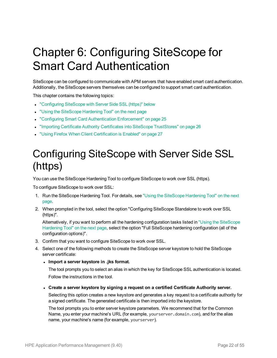# <span id="page-21-0"></span>Chapter 6: Configuring SiteScope for Smart Card Authentication

SiteScope can be configured to communicate with APM servers that have enabled smart card authentication. Additionally, the SiteScope servers themselves can be configured to support smart card authentication.

This chapter contains the following topics:

- <sup>l</sup> ["Configuring](#page-21-1) SiteScope with Server Side SSL (https)" below
- **.** "Using the [SiteScope](#page-22-0) Hardening Tool" on the next page
- "Configuring Smart Card [Authentication](#page-24-0) Enforcement" on page 25
- "Importing Certificate Authority Certificates into SiteScope [TrustStores"](#page-25-0) on page 26
- <span id="page-21-1"></span>**.** "Using Firefox When Client [Certification](#page-26-0) is Enabled" on page 27

## Configuring SiteScope with Server Side SSL (https)

You can use the SiteScope Hardening Tool to configure SiteScope to work over SSL (https).

To configure SiteScope to work over SSL:

- 1. Run the SiteScope Hardening Tool. For details, see "Using the [SiteScope](#page-22-0) Hardening Tool" on the next [page.](#page-22-0)
- 2. When prompted in the tool, select the option "Configuring SiteScope Standalone to work over SSL (https)".

Alternatively, if you want to perform all the hardening configuration tasks listed in "Using the [SiteScope](#page-22-0) [Hardening](#page-22-0) Tool" on the next page, select the option "Full SiteScope hardening configuration (all of the configuration options)".

- 3. Confirm that you want to configure SiteScope to work over SSL.
- 4. Select one of the following methods to create the SiteScope server keystore to hold the SiteScope server certificate:
	- <sup>l</sup> **Import a server keystore in .jks format.**

The tool prompts you to select an alias in which the key for SiteScope SSL authentication is located. Follow the instructions in the tool.

<sup>l</sup> **Create a server keystore by signing a request on a certified Certificate Authority server.**

Selecting this option creates a new keystore and generates a key request to a certificate authority for a signed certificate. The generated certificate is then imported into the keystore.

The tool prompts you to enter server keystore parameters. We recommend that for the Common Name, you enter your machine's URL (for example, yourserver.domain.com), and for the alias name, your machine's name (for example, yourserver).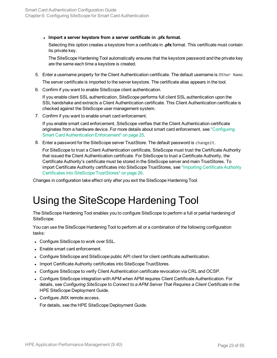<sup>l</sup> **Import a server keystore from a server certificate in .pfx format.**

Selecting this option creates a keystore from a certificate in **.pfx** format. This certificate must contain its private key.

The SiteScope Hardening Tool automatically ensures that the keystore password and the private key are the same each time a keystore is created.

- 5. Enter a username property for the Client Authentication certificate. The default username is Other Name. The server certificate is imported to the server keystore. The certificate alias appears in the tool.
- 6. Confirm if you want to enable SiteScope client authentication.

If you enable client SSL authentication, SiteScope performs full client SSL authentication upon the SSL handshake and extracts a Client Authentication certificate. This Client Authentication certificate is checked against the SiteScope user management system.

7. Confirm if you want to enable smart card enforcement.

If you enable smart card enforcement, SiteScope verifies that the Client Authentication certificate originates from a hardware device. For more details about smart card enforcement, see ["Configuring](#page-24-0) Smart Card [Authentication](#page-24-0) Enforcement" on page 25.

8. Enter a password for the SiteScope server TrustStore. The default password is changeit.

For SiteScope to trust a Client Authentication certificate, SiteScope must trust the Certificate Authority that issued the Client Authentication certificate. For SiteScope to trust a Certificate Authority, the Certificate Authority's certificate must be stored in the SiteScope server and main TrustStores. To import Certificate Authority certificates into SiteScope TrustStores, see "Importing [Certificate](#page-25-0) Authority Certificates into SiteScope [TrustStores"](#page-25-0) on page 26.

<span id="page-22-0"></span>Changes in configuration take effect only after you exit the SiteScope Hardening Tool.

### Using the SiteScope Hardening Tool

The SiteScope Hardening Tool enables you to configure SiteScope to perform a full or partial hardening of SiteScope.

You can use the SiteScope Hardening Tool to perform all or a combination of the following configuration tasks:

- Configure SiteScope to work over SSL.
- Enable smart card enforcement.
- Configure SiteScope and SiteScope public API client for client certificate authentication.
- Import Certificate Authority certificates into SiteScope TrustStores.
- Configure SiteScope to verify Client Authentication certificate revocation via CRL and OCSP.
- Configure SiteScope integration with APM when APM requires Client Certificate Authentication. For details, see *Configuring SiteScope to Connect to a APM Server That Requires a Client Certificate* in the HPE SiteScope Deployment Guide.
- Configure JMX remote access.

For details, see the HPE SiteScope Deployment Guide.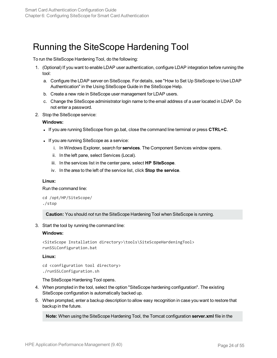### <span id="page-23-0"></span>Running the SiteScope Hardening Tool

To run the SiteScope Hardening Tool, do the following:

- 1. (Optional) If you want to enable LDAP user authentication, configure LDAP integration before running the tool:
	- a. Configure the LDAP server on SiteScope. For details, see "How to Set Up SiteScope to Use LDAP Authentication" in the Using SiteScope Guide in the SiteScope Help.
	- b. Create a new role in SiteScope user management for LDAP users.
	- c. Change the SiteScope administrator login name to the email address of a user located in LDAP. Do not enter a password.
- 2. Stop the SiteScope service:

#### **Windows:**

- If you are running SiteScope from go.bat, close the command line terminal or press **CTRL+C**.
- If you are running SiteScope as a service:
	- i. In Windows Explorer, search for **services**. The Component Services window opens.
	- ii. In the left pane, select Services (Local).
	- iii. In the services list in the center pane, select **HP SiteScope**.
	- iv. In the area to the left of the service list, click **Stop the service**.

#### **Linux:**

Run the command line:

```
cd /opt/HP/SiteScope/
./stop
```
**Caution:** You should *not* run the SiteScope Hardening Tool when SiteScope is running.

3. Start the tool by running the command line:

#### **Windows:**

```
<SiteScope Installation directory>\tools\SiteScopeHardeningTool>
runSSLConfiguration.bat
```
#### **Linux:**

```
cd <configuration tool directory>
./runSSLConfiguration.sh
```
The SiteScope Hardening Tool opens.

- 4. When prompted in the tool, select the option "SiteScope hardening configuration". The existing SiteScope configuration is automatically backed up.
- 5. When prompted, enter a backup description to allow easy recognition in case you want to restore that backup in the future.

**Note:** When using the SiteScope Hardening Tool, the Tomcat configuration **server.xml** file in the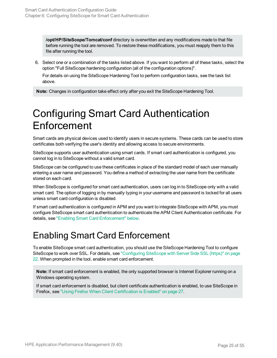**/opt/HP/SiteScope/Tomcat/conf** directory is overwritten and any modifications made to that file before running the tool are removed. To restore these modifications, you must reapply them to this file after running the tool.

6. Select one or a combination of the tasks listed above. If you want to perform all of these tasks, select the option "Full SiteScope hardening configuration (all of the configuration options)".

For details on using the SiteScope Hardening Tool to perform configuration tasks, see the task list above.

<span id="page-24-0"></span>**Note:** Changes in configuration take effect only after you exit the SiteScope Hardening Tool.

## Configuring Smart Card Authentication **Enforcement**

Smart cards are physical devices used to identify users in secure systems. These cards can be used to store certificates both verifying the user's identity and allowing access to secure environments.

SiteScope supports user authentication using smart cards. If smart card authentication is configured, you cannot log in to SiteScope without a valid smart card.

SiteScope can be configured to use these certificates in place of the standard model of each user manually entering a user name and password. You define a method of extracting the user name from the certificate stored on each card.

When SiteScope is configured for smart card authentication, users can log in to SiteScope only with a valid smart card. The option of logging in by manually typing in your username and password is locked for all users unless smart card configuration is disabled.

If smart card authentication is configured in APM and you want to integrate SiteScope with APM, you must configure SiteScope smart card authentication to authenticate the APM Client Authentication certificate. For details, see "Enabling Smart Card [Enforcement"](#page-24-1) below.

### <span id="page-24-1"></span>Enabling Smart Card Enforcement

To enable SiteScope smart card authentication, you should use the SiteScope Hardening Tool to configure SiteScope to work over SSL. For details, see ["Configuring](#page-21-1) SiteScope with Server Side SSL (https)" on page [22](#page-21-1). When prompted in the tool, enable smart card enforcement.

**Note:** If smart card enforcement is enabled, the only supported browser is Internet Explorer running on a Windows operating system.

If smart card enforcement is disabled, but client certificate authentication is enabled, to use SiteScope in Firefox, see "Using Firefox When Client [Certification](#page-26-0) is Enabled" on page 27.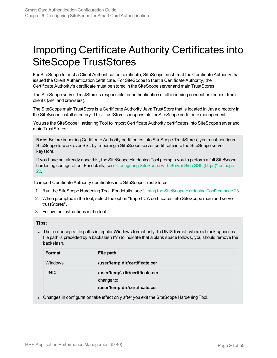### <span id="page-25-0"></span>Importing Certificate Authority Certificates into SiteScope TrustStores

For SiteScope to trust a Client Authentication certificate, SiteScope must trust the Certificate Authority that issued the Client Authentication certificate. For SiteScope to trust a Certificate Authority, the Certificate Authority's certificate must be stored in the SiteScope server and main TrustStores.

The SiteScope server TrustStore is responsible for authentication of all incoming connection request from clients (API and browsers).

The SiteScope main TrustStore is a Certificate Authority Java TrustStore that is located in Java directory in the SiteScope install directory. This TrustStore is responsible for SiteScope certificate management.

You use the SiteScope Hardening Tool to import Certificate Authority certificates into SiteScope server and main TrustStores.

**Note:** Before importing Certificate Authority certificates into SiteScope TrustStores, you must configure SiteScope to work over SSL by importing a SiteScope server certificate into the SiteScope server keystore.

If you have not already done this, the SiteScope Hardening Tool prompts you to perform a full SiteScope hardening configuration. For details, see ["Configuring](#page-21-1) SiteScope with Server Side SSL (https)" on page [22.](#page-21-1)

To import Certificate Authority certificates into SiteScope TrustStores:

- 1. Run the SiteScope Hardening Tool. For details, see "Using the [SiteScope](#page-22-0) Hardening Tool" on page 23.
- 2. When prompted in the tool, select the option "Import CA certificates into SiteScope main and server trustStores".
- 3. Follow the instructions in the tool.

#### **Tips:**

• The tool accepts file paths in regular Windows format only. In UNIX format, where a blank space in a file path is preceded by a backslash ("\") to indicate that a blank space follows, you should remove the backslash.

| Format         | File path                                                                       |
|----------------|---------------------------------------------------------------------------------|
| <b>Windows</b> | /user/temp dir/certificate.cer                                                  |
| <b>UNIX</b>    | /user/temp\ dir/certificate.cer<br>change to:<br>/user/temp dir/certificate.cer |

• Changes in configuration take effect only after you exit the SiteScope Hardening Tool.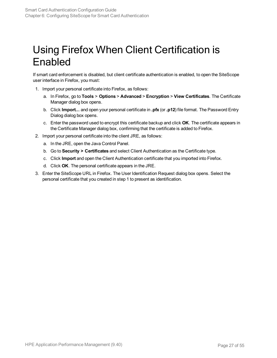## <span id="page-26-0"></span>Using Firefox When Client Certification is Enabled

If smart card enforcement is disabled, but client certificate authentication is enabled, to open the SiteScope user interface in Firefox, you must:

- 1. Import your personal certificate into Firefox, as follows:
	- a. In Firefox, go to **Tools** > **Options** > **Advanced** > **Encryption** > **View Certificates**. The Certificate Manager dialog box opens.
	- b. Click **Import...** and open your personal certificate in **.pfx** (or **.p12**) file format. The Password Entry Dialog dialog box opens.
	- c. Enter the password used to encrypt this certificate backup and click **OK**. The certificate appears in the Certificate Manager dialog box, confirming that the certificate is added to Firefox.
- 2. Import your personal certificate into the client JRE, as follows:
	- a. In the JRE, open the Java Control Panel.
	- b. Go to **Security > Certificates** and select Client Authentication as the Certificate type.
	- c. Click **Import** and open the Client Authentication certificate that you imported into Firefox.
	- d. Click **OK**. The personal certificate appears in the JRE.
- 3. Enter the SiteScope URL in Firefox. The User Identification Request dialog box opens. Select the personal certificate that you created in step 1 to present as identification.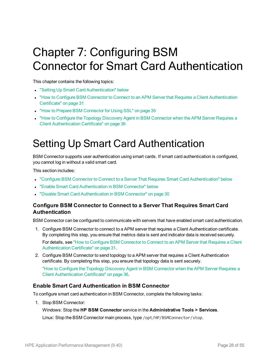# <span id="page-27-0"></span>Chapter 7: Configuring BSM Connector for Smart Card Authentication

This chapter contains the following topics:

- **.** "Setting Up Smart Card [Authentication"](#page-27-1) below
- "How to Configure BSM Connector to Connect to an APM Server that Requires a Client [Authentication](#page-30-0) [Certificate"](#page-30-0) on page 31
- "How to Prepare BSM [Connector](#page-34-0) for Using SSL" on page 35
- <span id="page-27-1"></span>• "How to Configure the Topology Discovery Agent in BSM [Connector](#page-35-0) when the APM Server Requires a Client [Authentication](#page-35-0) Certificate" on page 36

### Setting Up Smart Card Authentication

BSM Connector supports user authentication using smart cards. If smart card authentication is configured, you cannot log in without a valid smart card.

This section includes:

- <sup>l</sup> "Configure [BSM Connector](#page-27-2) to Connect to a Server That Requires Smart Card Authentication" below
- <sup>l</sup> "Enable Smart Card [Authentication](#page-27-3) in BSM Connector" below
- <span id="page-27-2"></span>• "Disable Smart Card [Authentication](#page-29-0) in BSM Connector" on page 30

### **Configure BSM Connector to Connect to a Server That Requires Smart Card Authentication**

BSM Connector can be configured to communicate with servers that have enabled smart card authentication.

1. Configure BSM Connector to connect to a APM server that requires a Client Authentication certificate. By completing this step, you ensure that metrics data is sent and indicator data is received securely.

For details, see "How to Configure BSM [Connector](#page-30-0) to Connect to an APM Server that Requires a Client [Authentication](#page-30-0) Certificate" on page 31.

2. Configure BSM Connector to send topology to a APM server that requires a Client Authentication certificate. By completing this step, you ensure that topology data is sent securely.

"How to Configure the Topology Discovery Agent in BSM [Connector](#page-35-0) when the APM Server Requires a Client [Authentication](#page-35-0) Certificate" on page 36.

### <span id="page-27-3"></span>**Enable Smart Card Authentication in BSM Connector**

To configure smart card authentication in BSM Connector, complete the following tasks:

1. Stop BSM Connector:

Windows: Stop the **HP BSM Connector** service in the **Administrative Tools > Services**. Linux: Stop the BSM Connector main process, type /opt/HP/BSMConnector/stop.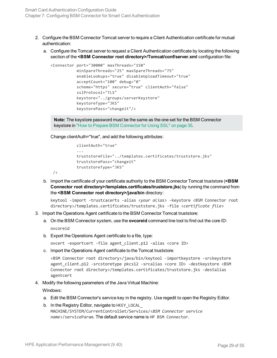- 2. Configure the BSM Connector Tomcat server to require a Client Authentication certificate for mutual authentication:
	- a. Configure the Tomcat server to request a Client Authentication certificate by locating the following section of the **<BSM Connector root directory>/Tomcat/conf/server.xml** configuration file:

```
<Connector port="30000" maxThreads="150"
                        minSpareThreads="25" maxSpareThreads="75"
                         enableLookups="true" disableUploadTimeout="true"
                         acceptCount="100" debug="0"
                         scheme="https" secure="true" clientAuth="false"
                         sslProtocol="TLS"
                         keystore="../groups/serverKeystore"
                         keystoreType="JKS"
                         keystorePass="changeit"/>
```
**Note:** The keystore password must be the same as the one set for the BSM Connector keystore in "How to Prepare BSM [Connector](#page-34-0) for Using SSL" on page 35.

Change clientAuth="true", and add the following attributes:

```
clientAuth="true"
           ...
           truststoreFile="../templates.certificates/truststore.jks"
truststorePass="changeit"
truststoreType="JKS"
```
b. Import the certificate of your certificate authority to the BSM Connector Tomcat truststore (**<BSM Connector root directory>/templates.certificates/truststore.jks**) by running the command from the **<BSM Connector root directory>/java/bin** directory:

```
keytool -import -trustcacerts -alias <your alias> -keystore <BSM Connector root
directory>/templates.certificates/truststore.jks -file <certificate file>
```
- 3. Import the Operations Agent certificate to the BSM Connector Tomcat truststore:
	- a. On the BSM Connector system, use the **ovcoreid** command line tool to find out the core ID: ovcoreid
	- b. Export the Operations Agent certificate to a file, type:

ovcert -exportcert -file agent\_client.p12 -alias <core ID>

c. Import the Operations Agent certificate to the Tomcat truststore:

<BSM Connector root directory>/java/bin/keytool -importkeystore -srckeystore agent\_client.p12 -srcstoretype pkcs12 -srcalias <core ID> -destkeystore <BSM Connector root directory>/templates.certificates/truststore.jks -destalias agentcert

4. Modify the following parameters of the Java Virtual Machine:

Windows:

/>

- a. Edit the BSM Connector's service key in the registry. Use regedit to open the Registry Editor.
- b. In the Registry Editor, navigate to HKEY\_LOCAL MACHINE/SYSTEM/CurrentControlSet/Services/<*BSM Connector service name*>/serviceParam. The default service name is HP BSM Connector.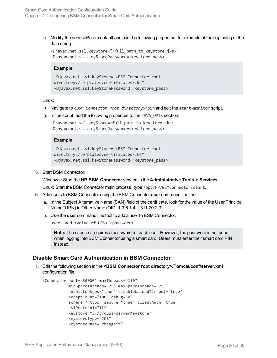c. Modify the serviceParam default and add the following properties, for example at the beginning of the data string:

```
-Djavax.net.ssl.keyStore="<full_path_to_keystore.jks>"
-Djavax.net.ssl.keyStorePassword=<keystore_pass>
```
#### **Example:**

```
-Djavax.net.ssl.keyStore="<BSM Connector root
directory>/templates.certificates/.ks"
-Djavax.net.ssl.keyStorePassword=<keystore_pass>
```
#### Linux:

- a. Navigate to <*BSM Connector root directory*>/bin and edit the start-monitor script.
- b. In the script, add the following properties to the JAVA\_OPTS section:

```
-Djavax.net.ssl.keyStore=<full path to keystore.jks>
-Djavax.net.ssl.keyStorePassword=<keystore_pass>
```
#### **Example:**

```
-Djavax.net.ssl.keyStore="<BSM Connector root
directory>/templates.certificates/.ks"
-Djavax.net.ssl.keyStorePassword=<keystore_pass>
```
5. Start BSM Connector:

Windows: Start the **HP BSM Connector** service in the **Administrative Tools > Services**.

Linux: Start the BSM Connector main process, type /opt/HP/BSMConnector/start.

- 6. Add users to BSM Connector using the BSM Connector **user** command line tool:
	- a. In the Subject Alternative Name (SAN) field of the certificate, look for the value of the User Principal Name (UPN) in Other Name (OID: 1.3.6.1.4.1.311.20.2.3).
	- b. Use the **user** command line tool to add a user to BSM Connector:

```
user -add <value of UPN> <password>
```
**Note:** The user tool requires a password for each user. However, the password is not used when logging into BSM Connector using a smart card. Users must enter their smart card PIN instead.

### <span id="page-29-0"></span>**Disable Smart Card Authentication in BSM Connector**

1. Edit the following section in the **<BSM Connector root directory>/Tomcat/conf/server.xml** configuration file:

```
<Connector port="30000" maxThreads="150"
                         minSpareThreads="25" maxSpareThreads="75"
                         enableLookups="true" disableUploadTimeout="true"
                         acceptCount="100" debug="0"
                         scheme="https" secure="true" clientAuth="true"
                         sslProtocol="TLS"
                         keystore="../groups/serverKeystore"
                         keystoreType="JKS"
                         keystorePass="changeit"
```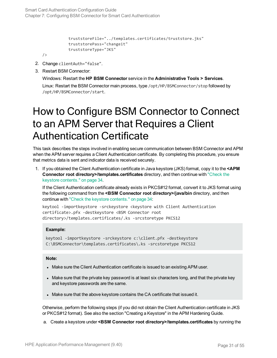```
           truststoreFile="../templates.certificates/truststore.jks"
truststorePass="changeit"
truststoreType="JKS"
```
/>

- 2. Change clientAuth="false".
- 3. Restart BSM Connector:

Windows: Restart the **HP BSM Connector** service in the **Administrative Tools > Services**. Linux: Restart the BSM Connector main process, type /opt/HP/BSMConnector/stop followed by /opt/HP/BSMConnector/start.

## <span id="page-30-0"></span>How to Configure BSM Connector to Connect to an APM Server that Requires a Client Authentication Certificate

This task describes the steps involved in enabling secure communication between BSM Connector and APM when the APM server requires a Client Authentication certificate. By completing this procedure, you ensure that metrics data is sent and indicator data is received securely.

1. If you obtained the Client Authentication certificate in Java keystore (JKS) format, copy it to the **<APM Connector root directory>/templates.certificates** directory, and then continue with ["Check](#page-33-0) the keystore [contents."](#page-33-0) on page 34.

If the Client Authentication certificate already exists in PKCS#12 format, convert it to JKS format using the following command from the **<BSM Connector root directory>/java/bin** directory, and then continue with "Check the keystore [contents."](#page-33-0) on page 34:

```
keytool -importkeystore -srckeystore <keystore with Client Authentication
certificate>.pfx -destkeystore <BSM Connector root
directory>/templates.certificates/.ks -srcstoretype PKCS12
```
#### **Example:**

keytool -importkeystore -srckeystore c:\client.pfx -destkeystore C:\BSMConnector\templates.certificates\.ks -srcstoretype PKCS12

#### **Note:**

- Make sure the Client Authentication certificate is issued to an existing APM user.
- Make sure that the private key password is at least six characters long, and that the private key and keystore passwords are the same.
- Make sure that the above keystore contains the CA certificate that issued it.

Otherwise, perform the following steps (if you did not obtain the Client Authentication certificate in JKS or PKCS#12 format). See also the section "Creating a Keystore" in the APM Hardening Guide.

a. Create a keystore under **<BSM Connector root directory>/templates.certificates** by running the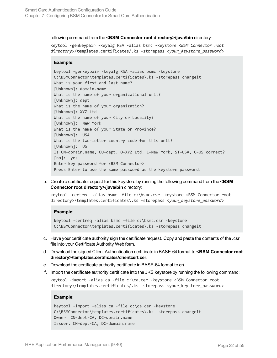#### following command from the **<BSM Connector root directory>/java/bin** directory:

keytool -genkeypair -keyalg RSA -alias bsmc -keystore <*BSM Connector root directory*>/templates.certificates/.ks -storepass <*your\_keystore\_password*>

#### **Example:**

keytool -genkeypair -keyalg RSA -alias bsmc -keystore C:\BSMConnector\templates.certificates\.ks -storepass changeit What is your first and last name? [Unknown]: domain.name What is the name of your organizational unit? [Unknown]: dept What is the name of your organization? [Unknown]: XYZ Ltd What is the name of your City or Locality? [Unknown]: New York What is the name of your State or Province? [Unknown]: USA What is the two-letter country code for this unit? [Unknown]: US Is CN=domain.name, OU=dept, O=XYZ Ltd, L=New York, ST=USA, C=US correct? [no]: yes Enter key password for <BSM Connector> Press Enter to use the same password as the keystore password.

b. Create a certificate request for this keystore by running the following command from the **<BSM Connector root directory>/java/bin** directory:

keytool -certreq -alias bsmc -file c:\bsmc.csr -keystore <BSM Connector root directory>\templates.certificates\.ks -storepass <*your\_keystore\_password*>

#### **Example:**

```
keytool -certreq -alias bsmc -file c:\bsmc.csr -keystore
C:\BSMConnector\templates.certificates\.ks -storepass changeit
```
- c. Have your certificate authority sign the certificate request. Copy and paste the contents of the .csr file into your Certificate Authority Web form.
- d. Download the signed Client Authentication certificate in BASE-64 format to **<BSM Connector root directory>/templates.certificates/clientcert.cer**.
- e. Download the certificate authority certificate in BASE-64 format to **c:\**.
- f. Import the certificate authority certificate into the JKS keystore by running the following command:

```
keytool -import -alias ca -file c:\ca.cer -keystore <BSM Connector root
directory>/templates.certificates/.ks -storepass <your keystore password>
```
#### **Example:**

```
keytool -import -alias ca -file c:\ca.cer -keystore
C:\BSMConnector\templates.certificates\.ks -storepass changeit
Owner: CN=dept-CA, DC=domain.name
Issuer: CN=dept-CA, DC=domain.name
```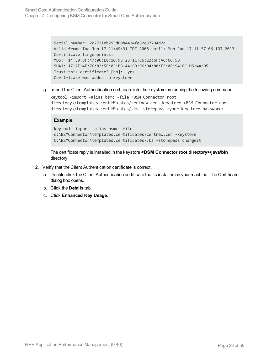```
Serial number: 2c2721eb293d60b4424fe82e37794d2c
Valid from: Tue Jun 17 11:49:31 IDT 2008 until: Mon Jun 17 11:57:06 IDT 2013
Certificate fingerprints:
MD5: 14:59:8F:47:00:E8:10:93:23:1C:C6:22:6F:A6:6C:5B
SHA1: 17:2F:4E:76:83:5F:03:BB:A4:B9:96:D4:80:E3:08:94:8C:D5:4A:D5
Trust this certificate? [no]: yes
Certificate was added to keystore
```
g. Import the Client Authentication certificate into the keystore by running the following command:

```
keytool -import -alias bsmc -file <BSM Connector root
directory>/templates.certificates/certnew.cer -keystore <BSM Connector root
directory>/templates.certificates/.ks -storepass <your_keystore_password>
```
#### **Example:**

```
keytool -import -alias bsmc -file
c:\BSMConnector\templates.certificates\certnew.cer -keystore
C:\BSMConnector\templates.certificates\.ks -storepass changeit
```
The certificate reply is installed in the keystore **<BSM Connector root directory>/java/bin** directory.

- 2. Verify that the Client Authentication certificate is correct.
	- a. Double-click the Client Authentication certificate that is installed on your machine. The Certificate dialog box opens.
	- b. Click the **Details** tab.
	- c. Click **Enhanced Key Usage**.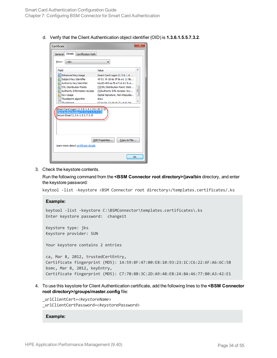d. Verify that the Client Authentication object identifier (OID) is **1.3.6.1.5.5.7.3.2**.

| Certificate                                                                                                                                                                                                                                                                                                                                                                                                                                                                                                                                                                                                                    | x  |  |
|--------------------------------------------------------------------------------------------------------------------------------------------------------------------------------------------------------------------------------------------------------------------------------------------------------------------------------------------------------------------------------------------------------------------------------------------------------------------------------------------------------------------------------------------------------------------------------------------------------------------------------|----|--|
| Details<br>Certification Path<br>General                                                                                                                                                                                                                                                                                                                                                                                                                                                                                                                                                                                       |    |  |
| $<$ All $>$<br>Show:                                                                                                                                                                                                                                                                                                                                                                                                                                                                                                                                                                                                           |    |  |
| Field<br>Value<br><b>Enhanced Key Usage</b><br>Smart Card Logon (1.3.6.1.4<br>Subject Key Identifier<br>40 01 14 18 6e 5f 8e a1 11 9b<br>Authority Key Identifier<br>KeyID=85 ea f8 e7 b2 61 fb a<br><b>TE CRL Distribution Points</b><br>[1]CRL Distribution Point: Distr<br>Ξ<br><b>TE Authority Information Access</b><br>[1] Authority Info Access: Acc<br><b>Key Usage</b><br>Digital Signature, Non-Repudia<br>Thumbprint algorithm<br>sha1<br>Thumhnrint<br>67 ae ha 12 d4 c9 21 c4 d1 94<br>Smart Card Logon (1.3.6.1.4.1.311.20.2.2)<br>Client Authentication (1.3.6.1.5.5.7.3.2)<br>Secure Email (1.3.6.1.5.5.7.3.4) |    |  |
| Edit Properties<br>Copy to File<br>Learn more about certificate details                                                                                                                                                                                                                                                                                                                                                                                                                                                                                                                                                        |    |  |
|                                                                                                                                                                                                                                                                                                                                                                                                                                                                                                                                                                                                                                | OK |  |

<span id="page-33-0"></span>3. Check the keystore contents.

Run the following command from the **<BSM Connector root directory>/java/bin** directory, and enter the keystore password:

keytool -list -keystore <BSM Connector root directory>/templates.certificates/.ks

```
Example:
keytool -list -keystore C:\BSMConnector\templates.certificates\.ks
Enter keystore password: changeit
Keystore type: jks
Keystore provider: SUN
Your keystore contains 2 entries
ca, Mar 8, 2012, trustedCertEntry,
Certificate fingerprint (MD5): 14:59:8F:47:00:E8:10:93:23:1C:C6:22:6F:A6:6C:5B
bsmc, Mar 8, 2012, keyEntry,
Certificate fingerprint (MD5): C7:70:8B:3C:2D:A9:48:EB:24:8A:46:77:B0:A3:42:E1
```
4. To use this keystore for Client Authentication certificate, add the following lines to the **<BSM Connector root directory>/groups/master.config** file:

\_urlClientCert=<*keystoreName*> \_urlClientCertPassword=<*keystorePassword*>

#### **Example:**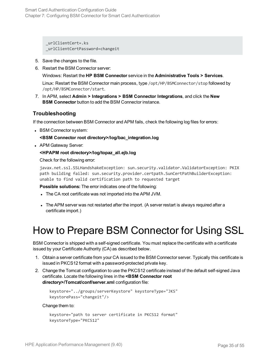\_urlClientCert=.ks \_urlClientCertPassword=changeit

- 5. Save the changes to the file.
- 6. Restart the BSM Connector server:

Windows: Restart the **HP BSM Connector** service in the **Administrative Tools > Services**.

Linux: Restart the BSM Connector main process, type /opt/HP/BSMConnector/stop followed by /opt/HP/BSMConnector/start.

7. In APM, select **Admin > Integrations > BSM Connector Integrations**, and click the **New BSM Connector** button to add the BSM Connector instance.

### **Troubleshooting**

If the connection between BSM Connector and APM fails, check the following log files for errors:

• BSM Connector system:

#### **<BSM Connector root directory>/log/bac\_integration.log**

• APM Gateway Server:

#### **<HPAPM root directory>/log/topaz\_all.ejb.log**

Check for the following error:

javax.net.ssl.SSLHandshakeException: sun.security.validator.ValidatorException: PKIX path building failed: sun.security.provider.certpath.SunCertPathBuilderException: unable to find valid certification path to requested target

**Possible solutions:** The error indicates one of the following:

- The CA root certificate was not imported into the APM JVM.
- <span id="page-34-0"></span>• The APM server was not restarted after the import. (A server restart is always required after a certificate import.)

### How to Prepare BSM Connector for Using SSL

BSM Connector is shipped with a self-signed certificate. You must replace the certificate with a certificate issued by your Certificate Authority (CA) as described below.

- 1. Obtain a server certificate from your CA issued to the BSM Connector server. Typically this certificate is issued in PKCS12 format with a password-protected private key.
- 2. Change the Tomcat configuration to use the PKCS12 certificate instead of the default self-signed Java certificate. Locate the following lines in the **<BSM Connector root directory>/Tomcat/conf/server.xml** configuration file:

```
keystore="../groups/serverKeystore" keystoreType="JKS"
keystorePass="changeit"/>
```
Change them to:

```
keystore="path to server certificate in PKCS12 format"
   keystoreType="PKCS12"
```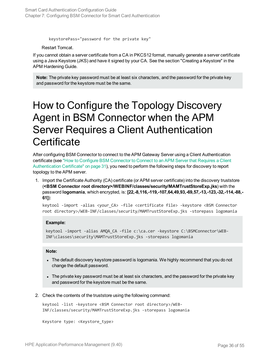```
keystorePass="password for the private key"
```
Restart Tomcat.

If you cannot obtain a server certificate from a CA in PKCS12 format, manually generate a server certificate using a Java Keystore (JKS) and have it signed by your CA. See the section "Creating a Keystore" in the APM Hardening Guide.

<span id="page-35-0"></span>**Note:** The private key password must be at least six characters, and the password for the private key and password for the keystore must be the same.

## How to Configure the Topology Discovery Agent in BSM Connector when the APM Server Requires a Client Authentication **Certificate**

After configuring BSM Connector to connect to the APM Gateway Server using a Client Authentication certificate (see "How to Configure BSM [Connector](#page-30-0) to Connect to an APM Server that Requires a Client [Authentication](#page-30-0) Certificate" on page 31), you need to perform the following steps for discovery to report topology to the APM server.

1. Import the Certificate Authority (CA) certificate (or APM server certificate) into the discovery truststore (**<BSM Connector root directory>/WEBINF/classes/security/MAMTrustStoreExp.jks**) with the password **logomania**, which encrypted, is: **[22,-8,116,-119,-107,64,49,93,-69,57,-13,-123,-32,-114,-88,- 61]**):

keytool -import -alias <your\_CA> -file <certificate file> -keystore <BSM Connector root directory>/WEB-INF/classes/security/MAMTrustStoreExp.jks -storepass logomania

#### **Example:**

keytool -import -alias AMQA\_CA -file c:\ca.cer -keystore C:\BSMConnector\WEB-INF\classes\security\MAMTrustStoreExp.jks -storepass logomania

#### **Note:**

- The default discovery keystore password is logomania. We highly recommend that you do not change the default password.
- The private key password must be at least six characters, and the password for the private key and password for the keystore must be the same.
- 2. Check the contents of the truststore using the following command:

keytool -list -keystore <BSM Connector root directory>/WEB-INF/classes/security/MAMTrustStoreExp.jks -storepass logomania

```
Keystore type: <Keystore_type>
```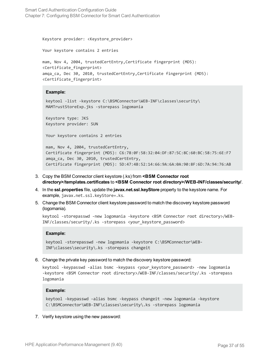Smart Card Authentication Configuration Guide Chapter 7: Configuring BSM Connector for Smart Card Authentication

```
Keystore provider: <Keystore_provider>
```
Your keystore contains 2 entries

```
mam, Nov 4, 2004, trustedCertEntry,Certificate fingerprint (MD5):
<Certificate_fingerprint>
amqa_ca, Dec 30, 2010, trustedCertEntry,Certificate fingerprint (MD5):
<Certificate_fingerprint>
```
#### **Example:**

```
keytool -list -keystore C:\BSMConnector\WEB-INF\classes\security\
MAMTrustStoreExp.jks -storepass logomania
```
Keystore type: JKS Keystore provider: SUN

Your keystore contains 2 entries

mam, Nov 4, 2004, trustedCertEntry, Certificate fingerprint (MD5): C6:78:0F:58:32:04:DF:87:5C:8C:60:BC:58:75:6E:F7 amqa\_ca, Dec 30, 2010, trustedCertEntry, Certificate fingerprint (MD5): 5D:47:4B:52:14:66:9A:6A:0A:90:8F:6D:7A:94:76:AB

- 3. Copy the BSM Connector client keystore (.ks) from **<BSM Connector root directory>/templates.certificates** to **<BSM Connector root directory>/WEB-INF/classes/security/**.
- 4. In the **ssl.properties** file, update the **javax.net.ssl.keyStore** property to the keystore name. For example, javax.net.ssl.keyStore=.ks.
- 5. Change the BSM Connector client keystore password to match the discovery keystore password (logomania).

```
keytool -storepasswd -new logomania -keystore <BSM Connector root directory>/WEB-
INF/classes/security/.ks -storepass <your_keystore_password>
```
#### **Example:**

```
keytool -storepasswd -new logomania -keystore C:\BSMConnector\WEB-
INF\classes\security\.ks -storepass changeit
```
6. Change the private key password to match the discovery keystore password:

keytool -keypasswd -alias bsmc -keypass <your\_keystore\_password> -new logomania -keystore <BSM Connector root directory>/WEB-INF/classes/security/.ks -storepass logomania

#### **Example:**

```
keytool -keypasswd -alias bsmc -keypass changeit -new logomania -keystore
C:\BSMConnector\WEB-INF\classes\security\.ks -storepass logomania
```
7. Verify keystore using the new password: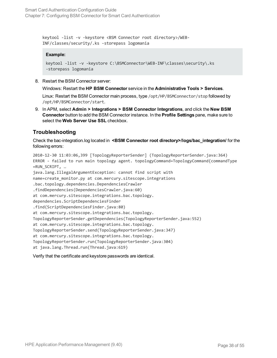keytool -list -v -keystore <BSM Connector root directory>/WEB-INF/classes/security/.ks -storepass logomania

#### **Example:**

```
keytool -list -v -keystore C:\BSMConnector\WEB-INF\classes\security\.ks
-storepass logomania
```
8. Restart the BSM Connector server:

Windows: Restart the **HP BSM Connector** service in the **Administrative Tools > Services**.

Linux: Restart the BSM Connector main process, type /opt/HP/BSMConnector/stop followed by /opt/HP/BSMConnector/start.

9. In APM, select **Admin > Integrations > BSM Connector Integrations**, and click the **New BSM Connector** button to add the BSM Connector instance. In the **Profile Settings** pane, make sure to select the **Web Server Use SSL** checkbox.

### **Troubleshooting**

Check the bac-integration.log located in <BSM Connector root directory>/logs/bac\_integration/ for the following errors:

```
2010-12-30 11:03:06,399 [TopologyReporterSender] (TopologyReporterSender.java:364)
ERROR - failed to run main topology agent. topologyCommand=TopologyCommand{commandType
=RUN_SCRIPT, …
java.lang.IllegalArgumentException: cannot find script with
name=create_monitor.py at com.mercury.sitescope.integrations
.bac.topology.dependencies.DependenciesCrawler
.findDependencies(DependenciesCrawler.java:60)
at com.mercury.sitescope.integrations.bac.topology.
dependencies.ScriptDependenciesFinder
.find(ScriptDependenciesFinder.java:80)
at com.mercury.sitescope.integrations.bac.topology.
TopologyReporterSender.getDependencies(TopologyReporterSender.java:552)
at com.mercury.sitescope.integrations.bac.topology.
TopologyReporterSender.send(TopologyReporterSender.java:347)
at com.mercury.sitescope.integrations.bac.topology.
TopologyReporterSender.run(TopologyReporterSender.java:304)
at java.lang.Thread.run(Thread.java:619)
```
Verify that the certificate and keystore passwords are identical.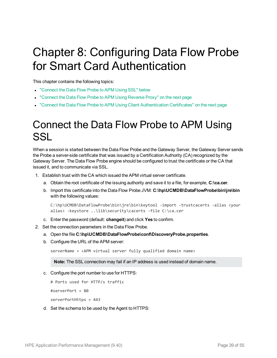# <span id="page-38-0"></span>Chapter 8: Configuring Data Flow Probe for Smart Card Authentication

This chapter contains the following topics:

- ["Connect](#page-38-1) the Data Flow Probe to APM Using SSL" below
- "Connect the Data Flow Probe to [APM Using](#page-39-0) Reverse Proxy" on the next page
- <span id="page-38-1"></span>• "Connect the Data Flow Probe to APM Using Client [Authentication](#page-39-1) Certificates" on the next page

### Connect the Data Flow Probe to APM Using SSL

When a session is started between the Data Flow Probe and the Gateway Server, the Gateway Server sends the Probe a server-side certificate that was issued by a Certification Authority (CA) recognized by the Gateway Server. The Data Flow Probe engine should be configured to trust the certificate or the CA that issued it, and to communicate via SSL.

- 1. Establish trust with the CA which issued the APM virtual server certificate.
	- a. Obtain the root certificate of the issuing authority and save it to a file, for example, **C:\ca.cer**.
	- b. Import this certificate into the Data Flow Probe JVM: **C:\hp\UCMDB\DataFlowProbe\bin\jre\bin** with the following values:

```
C:\hp\UCMDB\DataFlowProbe\bin\jre\bin\keytool -import -trustcacerts -alias <your
alias> -keystore ..\lib\security\cacerts -file C:\ca.cer
```
- c. Enter the password (default: **changeit**) and click **Yes** to confirm.
- 2. Set the connection parameters in the Data Flow Probe.
	- a. Open the file **C:\hp\UCMDB\DataFlowProbe\conf\DiscoveryProbe.properties**.
	- b. Configure the URL of the APM server:

serverName = <APM virtual server fully qualified domain name>

**Note:** The SSL connection may fail if an IP address is used instead of domain name.

c. Configure the port number to use for HTTPS:

```
# Ports used for HTTP/s traffic
```
#serverPort = 80

serverPortHttps = 443

d. Set the schema to be used by the Agent to HTTPS: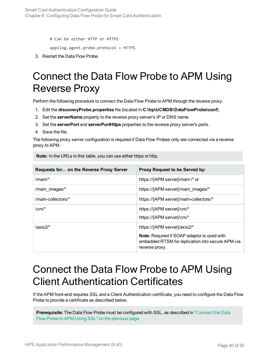# Can be either HTTP or HTTPS

appilog.agent.probe.protocol = HTTPS

<span id="page-39-0"></span>3. Restart the Data Flow Probe.

## Connect the Data Flow Probe to APM Using Reverse Proxy

Perform the following procedure to connect the Data Flow Probe to APM through the reverse proxy.

- 1. Edit the **discoveryProbe.properties** file (located in **C:\hp\UCMDB\DataFlowProbe\conf**).
- 2. Set the **serverName** property to the reverse proxy server's IP or DNS name.
- 3. Set the **serverPort** and **serverPortHttps** properties to the reverse proxy server's ports.
- 4. Save the file.

The following proxy server configuration is required if Data Flow Probes only are connected via a reverse proxy to APM.

Note: In the URLs in this table, you can use either https or http.

| <b>Requests for on the Reverse Proxy Server</b> | Proxy Request to be Served by:                                                                                            |
|-------------------------------------------------|---------------------------------------------------------------------------------------------------------------------------|
| /mam/ $*$                                       | https://[APM server]/mam /* or                                                                                            |
| /mam images/*                                   | https://[APM server]/mam images/*                                                                                         |
| /mam-collectors/*                               | https://[APM server]/mam-collectors/*                                                                                     |
| $/cm/*$                                         | https://[APM server]/cm/*                                                                                                 |
|                                                 | https://[APM server]/cm/*                                                                                                 |
| $/axis2/*$                                      | https://[APM server]/axis2/*                                                                                              |
|                                                 | <b>Note:</b> Required if SOAP adaptor is used with<br>embedded RTSM for replication into secure APM via<br>reverse proxy. |

### <span id="page-39-1"></span>Connect the Data Flow Probe to APM Using Client Authentication Certificates

If the APM front-end requires SSL and a Client Authentication certificate, you need to configure the Data Flow Probe to provide a certificate as described below.

**Prerequisite:** The Data Flow Probe must be configured with SSL, as described in ["Connect](#page-38-1) the Data Flow Probe to APM Using SSL" on the [previous](#page-38-1) page.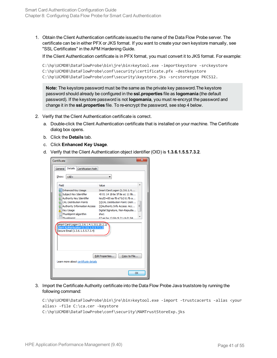1. Obtain the Client Authentication certificate issued to the name of the Data Flow Probe server. The certificate can be in either PFX or JKS format. If you want to create your own keystore manually, see "SSL Certificates" in the APM Hardening Guide.

If the Client Authentication certificate is in PFX format, you must convert it to JKS format. For example:

```
C:\hp\UCMDB\DataFlowProbe\bin\jre\bin>keytool.exe -importkeystore -srckeystore
C:\hp\UCMDB\DataFlowProbe\conf\security\certificate.pfx -destkeystore
C:\hp\UCMDB\DataFlowProbe\conf\security\keystore.jks -srcstoretype PKCS12.
```
**Note:** The keystore password must be the same as the private key password.The keystore password should already be configured in the **ssl.properties** file as **logomania** (the default password). If the keystore password is not **logomania**, you must re-encrypt the password and change it in the **ssl.properties** file. To re-encrypt the password, see step 4 below.

- 2. Verify that the Client Authentication certificate is correct.
	- a. Double-click the Client Authentication certificate that is installed on your machine. The Certificate dialog box opens.
	- b. Click the **Details** tab.
	- c. Click **Enhanced Key Usage**.
	- d. Verify that the Client Authentication object identifier (OID) is **1.3.6.1.5.5.7.3.2**.

| Certificate                                                                                                                                                                                                                                                                                                                                                                                                                                                                                  |    |  |
|----------------------------------------------------------------------------------------------------------------------------------------------------------------------------------------------------------------------------------------------------------------------------------------------------------------------------------------------------------------------------------------------------------------------------------------------------------------------------------------------|----|--|
| Details<br>Certification Path<br>General                                                                                                                                                                                                                                                                                                                                                                                                                                                     |    |  |
| Show:<br>$<$ All $>$                                                                                                                                                                                                                                                                                                                                                                                                                                                                         |    |  |
| Field<br>Value<br>Enhanced Key Usage<br>Smart Card Logon (1.3.6.1.4<br>40 01 14 18 6e 5f 8e a1 11 9b<br>Subject Key Identifier<br>(窗 Authority Key Identifier<br>KeyID=85 ea f8 e7 b2 61 fb a<br><b>CEL</b> Distribution Points<br>[1]CRL Distribution Point: Distr<br>Ξ<br>क्वा Authority Information Access<br>[1] Authority Info Access: Acc<br><b>Key Usage</b><br>Digital Signature, Non-Repudia<br>Thumbprint algorithm<br>sha 1<br><b>Thumborint</b><br>67 ae ha 12 d4 c9 21 c4 d1 94 |    |  |
| Smart Card Logon (1.3.6.1.4.1.311.20.2.2)<br>Client Authentication (1.3.6.1.5.5.7.3.2)<br>Secure Email (1.3.6.1.5.5.7.3.4)                                                                                                                                                                                                                                                                                                                                                                   |    |  |
| Edit Properties<br>Copy to File<br>Learn more about certificate details                                                                                                                                                                                                                                                                                                                                                                                                                      |    |  |
|                                                                                                                                                                                                                                                                                                                                                                                                                                                                                              | OK |  |

3. Import the Certificate Authority certificate into the Data Flow Probe Java truststore by running the following command:

C:\hp\UCMDB\DataFlowProbe\bin\jre\bin>keytool.exe -import -trustcacerts -alias <your alias> -file C:\ca.cer -keystore C:\hp\UCMDB\DataFlowProbe\conf\security\MAMTrustStoreExp.jks

HPE Application Performance Management (9.40) example the matrix of 55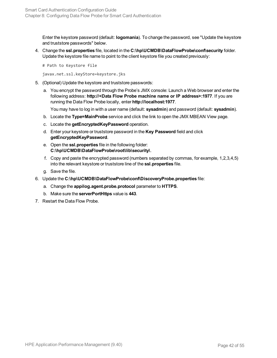Enter the keystore password (default: **logomania**). To change the password, see "Update the keystore and truststore passwords" below.

4. Change the **ssl.properties** file, located in the **C:\hp\UCMDB\DataFlowProbe\conf\security** folder. Update the keystore file name to point to the client keystore file you created previously:

# Path to Keystore file

javax.net.ssl.keyStore=keystore.jks

- 5. (Optional) Update the keystore and truststore passwords:
	- a. You encrypt the password through the Probe's JMX console: Launch a Web browser and enter the following address: **http://<Data Flow Probe machine name or IP address>:1977**. If you are running the Data Flow Probe locally, enter **http://localhost:1977**.

You may have to log in with a user name (default: **sysadmin**) and password (default: **sysadmin**).

- b. Locate the **Type=MainProbe** service and click the link to open the JMX MBEAN View page.
- c. Locate the **getEncryptedKeyPassword** operation.
- d. Enter your keystore or truststore password in the **Key Password** field and click **getEncryptedKeyPassword**.
- e. Open the **ssl.properties** file in the following folder: **C:\hp\UCMDB\DataFlowProbe\root\lib\security\**.
- f. Copy and paste the encrypted password (numbers separated by commas, for example, 1,2,3,4,5) into the relevant keystore or truststore line of the **ssl.properties** file.
- g. Save the file.
- 6. Update the **C:\hp\UCMDB\DataFlowProbe\conf\DiscoveryProbe.properties** file:
	- a. Change the **appilog.agent.probe.protocol** parameter to **HTTPS**.
	- b. Make sure the **serverPortHttps** value is **443**.
- 7. Restart the Data Flow Probe.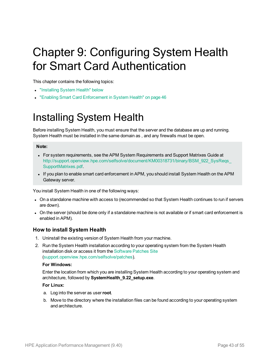# <span id="page-42-0"></span>Chapter 9: Configuring System Health for Smart Card Authentication

This chapter contains the following topics:

- ["Installing](#page-42-1) System Health" below
- <span id="page-42-1"></span>• "Enabling Smart Card [Enforcement](#page-45-0) in System Health" on page 46

### Installing System Health

Before installing System Health, you must ensure that the server and the database are up and running. System Health must be installed in the same domain as , and any firewalls must be open.

#### **Note:**

- For system requirements, see the APM System Requirements and Support Matrixes Guide at [http://support.openview.hpe.com/selfsolve/document/KM00318731/binary/BSM\\_922\\_SysReqs\\_](http://support.openview.hp.com/selfsolve/document/KM00318731/binary/BSM_922_SysReqs_SupportMatrixes.pdf) [SupportMatrixes.pdf](http://support.openview.hp.com/selfsolve/document/KM00318731/binary/BSM_922_SysReqs_SupportMatrixes.pdf).
- If you plan to enable smart card enforcement in APM, you should install System Health on the APM Gateway server.

You install System Health in one of the following ways:

- On a standalone machine with access to (recommended so that System Health continues to run if servers are down).
- On the server (should be done only if a standalone machine is not available or if smart card enforcement is enabled in APM).

### **How to install System Health**

- 1. Uninstall the existing version of System Health from your machine.
- 2. Run the System Health installation according to your operating system from the System Health installation disk or access it from the [Software](http://support.openview.hp.com/selfsolve/patches) Patches Site [\(support.openview.hpe.com/selfsolve/patches](http://support.openview.hp.com/selfsolve/patches)).

#### **For Windows:**

Enter the location from which you are installing System Health according to your operating system and architecture, followed by **SystemHealth\_9.22\_setup.exe**.

#### **For Linux:**

- a. Log into the server as user**root**.
- b. Move to the directory where the installation files can be found according to your operating system and architecture.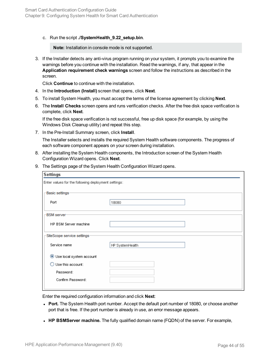c. Run the script **./SystemHealth\_9.22\_setup.bin**.

**Note:** Installation in console mode is not supported.

3. If the Installer detects any anti-virus program running on your system, it prompts you to examine the warnings before you continue with the installation. Read the warnings, if any, that appear in the **Application requirement check warnings** screen and follow the instructions as described in the screen.

Click **Continue** to continue with the installation.

- 4. In the **Introduction (Install)** screen that opens, click **Next**.
- 5. To install System Health, you must accept the terms of the license agreement by clicking **Next**.
- 6. The **Install Checks** screen opens and runs verification checks. After the free disk space verification is complete, click **Next**.

If the free disk space verification is not successful, free up disk space (for example, by using the Windows Disk Cleanup utility) and repeat this step.

7. In the Pre-Install Summary screen, click **Install**.

The Installer selects and installs the required System Health software components. The progress of each software component appears on your screen during installation.

- 8. After installing the System Health components, the Introduction screen of the System Health Configuration Wizard opens. Click **Next**.
- 9. The Settings page of the System Health Configuration Wizard opens.

| <b>Settings</b>                                     |                 |  |
|-----------------------------------------------------|-----------------|--|
| Enter values for the following deployment settings: |                 |  |
| Basic settings                                      |                 |  |
| Port                                                | 18080           |  |
| <b>BSM</b> server                                   |                 |  |
| HP BSM Server machine                               |                 |  |
| SiteScope service settings:                         |                 |  |
| Service name                                        | HP SystemHealth |  |
| Use local system account                            |                 |  |
| Use this account:                                   |                 |  |
| Password:                                           |                 |  |
| Confirm Password:                                   |                 |  |
|                                                     |                 |  |

Enter the required configuration information and click **Next**:

- Port. The System Health port number. Accept the default port number of 18080, or choose another port that is free. If the port number is already in use, an error message appears.
- **HP BSMServer machine.** The fully qualified domain name (FQDN) of the server. For example,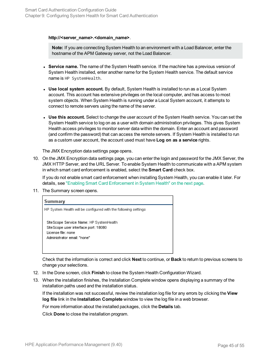#### **http://<server\_name>.<domain\_name>**.

**Note:** If you are connecting System Health to an environment with a Load Balancer, enter the hostname of the APM Gateway server, not the Load Balancer.

- <sup>l</sup> **Service name.** The name of the System Health service. If the machine has a previous version of System Health installed, enter another name for the System Health service. The default service name is HP SystemHealth.
- **Use local system account.** By default, System Health is installed to run as a Local System account. This account has extensive privileges on the local computer, and has access to most system objects. When System Health is running under a Local System account, it attempts to connect to remote servers using the name of the server.
- **Use this account.** Select to change the user account of the System Health service. You can set the System Health service to log on as a user with domain administration privileges. This gives System Health access privileges to monitor server data within the domain. Enter an account and password (and confirm the password) that can access the remote servers. If System Health is installed to run as a custom user account, the account used must have **Log on as a service** rights.

The JMX Encryption data settings page opens.

10. On the JMX Encryption data settings page, you can enter the login and password for the JMX Server, the JMX HTTP Server, and the URL Server. To enable System Health to communicate with a APM system in which smart card enforcement is enabled, select the **Smart Card** check box.

If you do not enable smart card enforcement when installing System Health, you can enable it later. For details, see "Enabling Smart Card [Enforcement](#page-45-0) in System Health" on the next page.

11. The Summary screen opens.

| Summary                                                                                                                                |
|----------------------------------------------------------------------------------------------------------------------------------------|
| HP System Health will be configured with the following settings                                                                        |
| Site Scope Service Name: HP SystemHealth<br>Site Scope user interface port: 18080<br>License file: none<br>Administrator email: "none" |

Check that the information is correct and click **Next** to continue, or **Back** to return to previous screens to change your selections.

- 12. In the Done screen, click **Finish** to close the System Health Configuration Wizard.
- 13. When the installation finishes, the Installation Complete window opens displaying a summary of the installation paths used and the installation status.

If the installation was not successful, review the installation log file for any errors by clicking the **View log file** link in the **Installation Complete** window to view the log file in a web browser.

For more information about the installed packages, click the **Details** tab.

Click **Done** to close the installation program.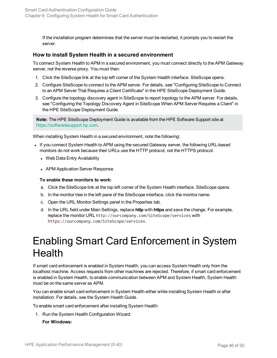If the installation program determines that the server must be restarted, it prompts you to restart the server.

### <span id="page-45-1"></span>**How to install System Health in a secured environment**

To connect System Health to APM in a secured environment, you must connect directly to the APM Gateway server, not the reverse proxy. You must then:

- 1. Click the SiteScope link at the top left corner of the System Health interface. SiteScope opens.
- 2. Configure SiteScope to connect to the APM server. For details, see "Configuring SiteScope to Connect to an APM Server That Requires a Client Certificate" in the HPE SiteScope Deployment Guide.
- 3. Configure the topology discovery agent in SiteScope to report topology to the APM server. For details, see "Configuring the Topology Discovery Agent in SiteScope When APM Server Requires a Client" in the HPE SiteScope Deployment Guide.

**Note:** The HPE SiteScope Deployment Guide is available from the HPE Software Support site at [https://softwaresupport.hp.com](http://h20230.www2.hp.com/selfsolve/manuals).

When installing System Health in a secured environment, note the following:

- If you connect System Health to APM using the secured Gateway server, the following URL-based monitors do not work because their URLs use the HTTP protocol, not the HTTPS protocol:
	- Web Data Entry Availability
	- APM Application Server Response

#### **To enable these monitors to work:**

- a. Click the SiteScope link at the top left corner of the System Health interface. SiteScope opens.
- b. In the monitor tree in the left pane of the SiteScope interface, click the monitor name.
- c. Open the URL Monitor Settings panel in the Properties tab.
- d. In the URL field under Main Settings, replace **http** with **https** and save the change. For example, replace the monitor URL http://ourcompany.com/SiteScope/services with https://ourcompany.com/SiteScope/services.

### <span id="page-45-0"></span>Enabling Smart Card Enforcement in System **Health**

If smart card enforcement is enabled in System Health, you can access System Health only from the localhost machine. Access requests from other machines are rejected. Therefore, if smart card enforcement is enabled in System Health, to enable communication between APM and System Health, System Health must be on the same server as APM.

You can enable smart card enforcement in System Health either while installing System Health or after installation. For details, see the System Health Guide.

To enable smart card enforcement after installing System Health:

1. Run the System Health Configuration Wizard: **For Windows:**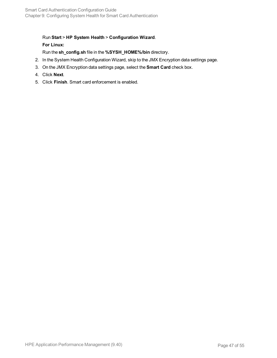### Run **Start** > **HP System Health** > **Configuration Wizard**. **For Linux:**

Run the **sh\_config.sh** file in the **%SYSH\_HOME%/bin** directory.

- 2. In the System Health Configuration Wizard, skip to the JMX Encryption data settings page.
- 3. On the JMX Encryption data settings page, select the **Smart Card** check box.
- 4. Click **Next**.
- 5. Click **Finish**. Smart card enforcement is enabled.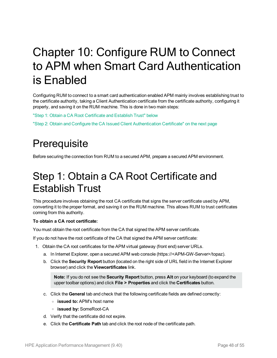# <span id="page-47-0"></span>Chapter 10: Configure RUM to Connect to APM when Smart Card Authentication is Enabled

Configuring RUM to connect to a smart card authentication enabled APM mainly involves establishing trust to the certificate authority, taking a Client Authentication certificate from the certificate authority, configuring it properly, and saving it on the RUM machine. This is done in two main steps:

"Step 1: Obtain a CA Root [Certificate](#page-47-2) and Establish Trust" below

<span id="page-47-1"></span>"Step 2: Obtain and Configure the CA Issued Client [Authentication](#page-48-0) Certificate" on the next page

### **Prerequisite**

<span id="page-47-2"></span>Before securing the connection from RUM to a secured APM, prepare a secured APM environment.

## Step 1: Obtain a CA Root Certificate and Establish Trust

This procedure involves obtaining the root CA certificate that signs the server certificate used by APM, converting it to the proper format, and saving it on the RUM machine. This allows RUM to trust certificates coming from this authority.

#### **To obtain a CA root certificate:**

You must obtain the root certificate from the CA that signed the APM server certificate.

If you do not have the root certificate of the CA that signed the APM server certificate:

- 1. Obtain the CA root certificates for the APM virtual gateway (front end) server URLs.
	- a. In Internet Explorer, open a secured APM web console (https://<APM-GW-Server>/topaz).
	- b. Click the **Security Report** button (located on the right side of URL field in the Internet Explorer browser) and click the **Viewcertificates** link.

**Note:** If you do not see the **Security Report** button, press **Alt** on your keyboard (to expand the upper toolbar options) and click **File > Properties** and click the **Certificates** button.

- c. Click the **General** tab and check that the following certificate fields are defined correctly:
	- <sup>o</sup> **issued to:** APM's host name
	- <sup>o</sup> **issued by:** SomeRoot-CA
- d. Verify that the certificate did not expire.
- e. Click the **Certificate Path** tab and click the root node of the certificate path.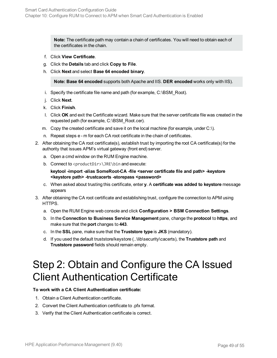**Note:** The certificate path may contain a chain of certificates. You will need to obtain each of the certificates in the chain.

- f. Click **View Certificate**.
- g. Click the **Details** tab and click **Copy to File**.
- h. Click **Next** and select **Base 64 encoded binary**.

**Note: Base 64 encoded** supports both Apache and IIS. **DER encoded** works only with IIS).

- i. Specify the certificate file name and path (for example, C:\BSM\_Root).
- j. Click **Next**.
- k. Click **Finish**.
- l. Click **OK** and exit the Certificate wizard. Make sure that the server certificate file was created in the requested path (for example, C:\BSM\_Root.cer).
- m. Copy the created certificate and save it on the local machine (for example, under C:\).
- n. Repeat steps e m for each CA root certificate in the chain of certificates.
- 2. After obtaining the CA root certificate(s), establish trust by importing the root CA certificate(s) for the authority that issues APM's virtual gateway (front end) server.
	- a. Open a cmd window on the RUM Engine machine.
	- b. Connect to <productDir>\JRE\bin and execute:

**keytool -import -alias SomeRoot-CA -file <server certificate file and path> -keystore <keystore path> -trustcacerts -storepass <password>**

- c. When asked about trusting this certificate, enter **y**. A **certificate was added to keystore** message appears
- 3. After obtaining the CA root certificate and establishing trust, configure the connection to APM using HTTPS.
	- a. Open the RUM Engine web console and click **Configuration > BSM Connection Settings**.
	- b. In the **Connection to Business Service Management** pane, change the **protocol** to **https**, and make sure that the **port** changes to **443**.
	- c. In the **SSL** pane, make sure that the **Truststore type** is **JKS** (mandatory).
	- d. If you used the default truststore/keystore (..\lib\security\cacerts), the **Truststore path** and **Truststore password** fields should remain empty.

## <span id="page-48-0"></span>Step 2: Obtain and Configure the CA Issued Client Authentication Certificate

#### **To work with a CA Client Authentication certificate:**

- 1. Obtain a Client Authentication certificate.
- 2. Convert the Client Authentication certificate to .pfx format.
- 3. Verify that the Client Authentication certificate is correct.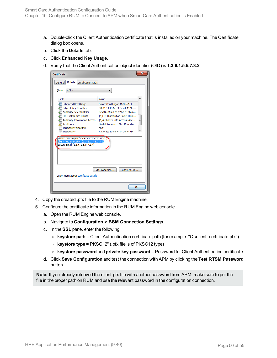- a. Double-click the Client Authentication certificate that is installed on your machine. The Certificate dialog box opens.
- b. Click the **Details** tab.
- c. Click **Enhanced Key Usage**.
- d. Verify that the Client Authentication object identifier (OID) is **1.3.6.1.5.5.7.3.2**.

| х<br>Certificate                                                                                                                                                                                                                                                                                                                                                                                                                                                                  |    |  |
|-----------------------------------------------------------------------------------------------------------------------------------------------------------------------------------------------------------------------------------------------------------------------------------------------------------------------------------------------------------------------------------------------------------------------------------------------------------------------------------|----|--|
| Details<br>General<br>Certification Path                                                                                                                                                                                                                                                                                                                                                                                                                                          |    |  |
| Show:<br>$<$ All $>$                                                                                                                                                                                                                                                                                                                                                                                                                                                              |    |  |
| Field<br>Value<br><b>Fill Enhanced Key Usage</b><br>Smart Card Logon (1.3.6.1.4<br>40 01 14 18 6e 5f 8e a1 11 9b<br>Subject Key Identifier<br>Authority Key Identifier<br>KevID=85 ea f8 e7 b2 61 fb a<br>CRL Distribution Points<br>[1]CRL Distribution Point: Distr<br>Ξ<br>Authority Information Access<br>[1] Authority Info Access: Acc<br><b>Key Usage</b><br>Digital Signature, Non-Repudia<br>Thumbprint algorithm<br>sha1<br>Thumhnrint<br>67 ae ha 12 d4 c9 21 c4 d1 94 |    |  |
| Smart Card Logon (1.3.6.1.4.1.311.20.2.2)<br>Client Authentication (1.3.6.1.5.5.7.3.2)<br>Secure Email (1.3.6.1.5.5.7.3.4)<br>Edit Properties<br>Copy to File<br>Learn more about certificate details                                                                                                                                                                                                                                                                             |    |  |
|                                                                                                                                                                                                                                                                                                                                                                                                                                                                                   | OK |  |

- 4. Copy the created .pfx file to the RUM Engine machine.
- 5. Configure the certificate information in the RUM Engine web console.
	- a. Open the RUM Engine web console.
	- b. Navigate to **Configuration > BSM Connection Settings**.
	- c. In the **SSL** pane, enter the following:
		- <sup>o</sup> **keystore path** = Client Authentication certificate path (for example: "C:\client\_certificate.pfx")
		- <sup>o</sup> **keystore type** = PKSC12" (.pfx file is of PKSC12 type)
		- <sup>o</sup> **keystore password** and **private key password** = Password for Client Authentication certificate.
	- d. Click **Save Configuration** and test the connection with APM by clicking the **Test RTSM Password** button.

**Note:** If you already retrieved the client.pfx file with another password from APM, make sure to put the file in the proper path on RUM and use the relevant password in the configuration connection.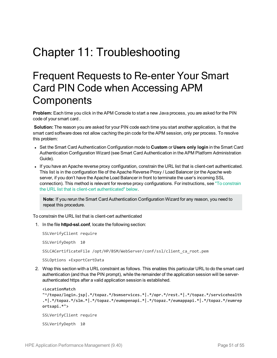# <span id="page-50-1"></span><span id="page-50-0"></span>Chapter 11: Troubleshooting

## Frequent Requests to Re-enter Your Smart Card PIN Code when Accessing APM **Components**

**Problem:** Each time you click in the APM Console to start a new Java process, you are asked for the PIN code of your smart card .

**Solution:** The reason you are asked for your PIN code each time you start another application, is that the smart card software does not allow caching the pin code for the APM session, only per process. To resolve this problem:

- <sup>l</sup> Set the Smart Card Authentication Configuration mode to **Custom** or **Users only login** in the Smart Card Authentication Configuration Wizard (see Smart Card Authentication in the APM Platform Administration Guide).
- If you have an Apache reverse proxy configuration, constrain the URL list that is client-cert authenticated. This list is in the configuration file of the Apache Reverse Proxy / Load Balancer (or the Apache web server, if you don't have the Apache Load Balancer in front to terminate the user's incoming SSL connection). This method is relevant for reverse proxy configurations. For instructions, see "To [constrain](#page-50-2) the URL list that is client-cert [authenticated"](#page-50-2) below.

**Note:** If you rerun the Smart Card Authentication Configuration Wizard for any reason, you need to repeat this procedure.

<span id="page-50-2"></span>To constrain the URL list that is client-cert authenticated

1. In the file **httpd-ssl.conf**, locate the following section:

SSLVerifyClient require

SSLVerifyDepth 10

SSLCACertificateFile /opt/HP/BSM/WebServer/conf/ssl/client\_ca\_root.pem

SSLOptions +ExportCertData

2. Wrap this section with a URL constraint as follows. This enables this particular URL to do the smart card authentication (and thus the PIN prompt), while the remainder of the application session will be serverauthenticated https after a valid application session is established.

```
<LocationMatch
"^/topaz/login.jsp|.*/topaz.*/bsmservices.*|.*/opr.*/rest.*|.*/topaz.*/servicehealth
.*|.*/topaz.*/slm.*|.*/topaz.*/eumopenapi.*|.*/topaz.*/eumappapi.*|.*/topaz.*/eumrep
ortsapi.*">
SSLVerifyClient require
SSLVerifyDepth 10
```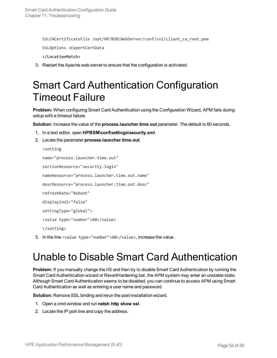SSLCACertificateFile /opt/HP/BSM/WebServer/conf/ssl/client\_ca\_root.pem SSLOptions +ExportCertData

**</LocationMatch>**

<span id="page-51-0"></span>3. Restart the Apache web server to ensure that the configuration is activated.

## Smart Card Authentication Configuration Timeout Failure

**Problem:** When configuring Smart Card Authentication using the Configuration Wizard, APM fails during setup with a timeout failure.

**Solution:** Increase the value of the **process.launcher.time.out** parameter. The default is 60 seconds.

- 1. In a text editor, open **HPBSM\conf\settings\security.xml**.
- 2. Locate the parameter **process.launcher.time.out**.

```
<setting
name="process.launcher.time.out"
sectionResource="security.login"
nameResource="process.launcher.time.out.name"
descResource="process.launcher.time.out.desc"
refreshRate="Reboot"
displayInUI="false"
settingType="global">
<value type="number">60</value>
</setting>
```
<span id="page-51-1"></span>3. In the line <value type="number">60</value>, increase the value.

### Unable to Disable Smart Card Authentication

**Problem:** If you manually change the IIS and then try to disable Smart Card Authentication by running the Smart Card Authentication wizard or RevertHardening.bat, the APM system may enter an unstable state. Although Smart Card Authentication seems to be disabled, you can continue to access APM using Smart Card Authentication as well as entering a user name and password.

**Solution:** Remove SSL binding and rerun the post-installation wizard.

- 1. Open a cmd window and run **netsh http show ssl**.
- 2. Locate the IP:port line and copy the address.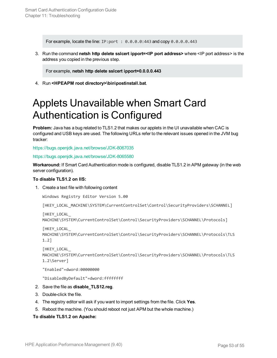For example, locate the line: IP:port : 0.0.0.0:443 and copy 0.0.0.0.443

3. Run the command **netsh http delete sslcert ipport=<IP port address>** where <IP port address> is the address you copied in the previous step.

For example, **netsh http delete sslcert ipport=0.0.0.0.443**

<span id="page-52-0"></span>4. Run **<HPEAPM root directory>\bin\postinstall.bat**.

## Applets Unavailable when Smart Card Authentication is Configured

**Problem:** Java has a bug related to TLS1.2 that makes our applets in the UI unavailable when CAC is configured and USB keys are used. The following URLs refer to the relevant issues opened in the JVM bug tracker:

<https://bugs.openjdk.java.net/browse/JDK-8067035>

<https://bugs.openjdk.java.net/browse/JDK-8065580>

**Workaround:** If Smart Card Authentication mode is configured, disable TLS1.2 in APM gateway (in the web server configuration).

#### **To disable TLS1.2 on IIS:**

1. Create a text file with following content

Windows Registry Editor Version 5.00

[HKEY\_LOCAL\_MACHINE\SYSTEM\CurrentControlSet\Control\SecurityProviders\SCHANNEL]

```
[HKEY_LOCAL_
```

```
MACHINE\SYSTEM\CurrentControlSet\Control\SecurityProviders\SCHANNEL\Protocols]
```

```
[HKEY_LOCAL_
```

```
MACHINE\SYSTEM\CurrentControlSet\Control\SecurityProviders\SCHANNEL\Protocols\TLS
1.2]
```

```
[HKEY_LOCAL_
MACHINE\SYSTEM\CurrentControlSet\Control\SecurityProviders\SCHANNEL\Protocols\TLS
1.2\Server]
```
"Enabled"=dword:00000000

"DisabledByDefault"=dword:ffffffff

- 2. Save the file as **disable\_TLS12.reg**.
- 3. Double-click the file.
- 4. The registry editor will ask if you want to import settings from the file. Click **Yes**.
- 5. Reboot the machine. (You should reboot not just APM but the whole machine.)

#### **To disable TLS1.2 on Apache:**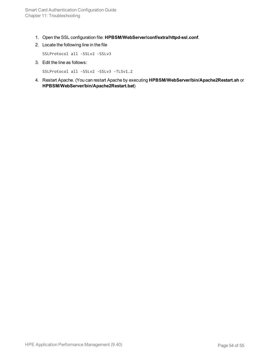- 1. Open the SSL configuration file: **HPBSM/WebServer/conf/extra/httpd-ssl.conf**.
- 2. Locate the following line in the file

SSLProtocol all -SSLv2 -SSLv3

3. Edit the line as follows:

SSLProtocol all -SSLv2 -SSLv3 -TLSv1.2

4. Restart Apache. (You can restart Apache by executing **HPBSM/WebServer/bin/Apache2Restart.sh** or **HPBSM/WebServer/bin/Apache2Restart.bat**)